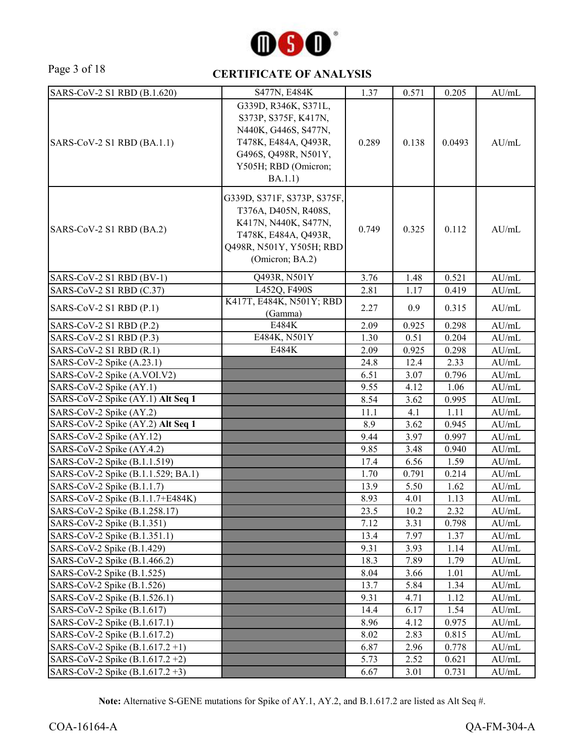

#### Page 3 of 18 **CERTIFICATE OF ANALYSIS**

| SARS-CoV-2 S1 RBD (B.1.620)        | S477N, E484K                                                                                                                                            | 1.37  | 0.571 | 0.205  | AU/mL |
|------------------------------------|---------------------------------------------------------------------------------------------------------------------------------------------------------|-------|-------|--------|-------|
| SARS-CoV-2 S1 RBD (BA.1.1)         | G339D, R346K, S371L,<br>S373P, S375F, K417N,<br>N440K, G446S, S477N,<br>T478K, E484A, Q493R,<br>G496S, Q498R, N501Y,<br>Y505H; RBD (Omicron;<br>BA.1.1) | 0.289 | 0.138 | 0.0493 | AU/mL |
| SARS-CoV-2 S1 RBD (BA.2)           | G339D, S371F, S373P, S375F,<br>T376A, D405N, R408S,<br>K417N, N440K, S477N,<br>T478K, E484A, Q493R,<br>Q498R, N501Y, Y505H; RBD<br>(Omicron; BA.2)      | 0.749 | 0.325 | 0.112  | AU/mL |
| SARS-CoV-2 S1 RBD (BV-1)           | Q493R, N501Y                                                                                                                                            | 3.76  | 1.48  | 0.521  | AU/mL |
| SARS-CoV-2 S1 RBD (C.37)           | L452Q, F490S                                                                                                                                            | 2.81  | 1.17  | 0.419  | AU/mL |
| SARS-CoV-2 S1 RBD (P.1)            | K417T, E484K, N501Y; RBD<br>(Gamma)                                                                                                                     | 2.27  | 0.9   | 0.315  | AU/mL |
| SARS-CoV-2 S1 RBD (P.2)            | E484K                                                                                                                                                   | 2.09  | 0.925 | 0.298  | AU/mL |
| SARS-CoV-2 S1 RBD (P.3)            | E484K, N501Y                                                                                                                                            | 1.30  | 0.51  | 0.204  | AU/mL |
| SARS-CoV-2 S1 RBD (R.1)            | E484K                                                                                                                                                   | 2.09  | 0.925 | 0.298  | AU/mL |
| SARS-CoV-2 Spike (A.23.1)          |                                                                                                                                                         | 24.8  | 12.4  | 2.33   | AU/mL |
| SARS-CoV-2 Spike (A.VOI.V2)        |                                                                                                                                                         | 6.51  | 3.07  | 0.796  | AU/mL |
| SARS-CoV-2 Spike (AY.1)            |                                                                                                                                                         | 9.55  | 4.12  | 1.06   | AU/mL |
| SARS-CoV-2 Spike (AY.1) Alt Seq 1  |                                                                                                                                                         | 8.54  | 3.62  | 0.995  | AU/mL |
| SARS-CoV-2 Spike (AY.2)            |                                                                                                                                                         | 11.1  | 4.1   | 1.11   | AU/mL |
| SARS-CoV-2 Spike (AY.2) Alt Seq 1  |                                                                                                                                                         | 8.9   | 3.62  | 0.945  | AU/mL |
| SARS-CoV-2 Spike (AY.12)           |                                                                                                                                                         | 9.44  | 3.97  | 0.997  | AU/mL |
| SARS-CoV-2 Spike (AY.4.2)          |                                                                                                                                                         | 9.85  | 3.48  | 0.940  | AU/mL |
| SARS-CoV-2 Spike (B.1.1.519)       |                                                                                                                                                         | 17.4  | 6.56  | 1.59   | AU/mL |
| SARS-CoV-2 Spike (B.1.1.529; BA.1) |                                                                                                                                                         | 1.70  | 0.791 | 0.214  | AU/mL |
| SARS-CoV-2 Spike (B.1.1.7)         |                                                                                                                                                         | 13.9  | 5.50  | 1.62   | AU/mL |
| SARS-CoV-2 Spike (B.1.1.7+E484K)   |                                                                                                                                                         | 8.93  | 4.01  | 1.13   | AU/mL |
| SARS-CoV-2 Spike (B.1.258.17)      |                                                                                                                                                         | 23.5  | 10.2  | 2.32   | AU/mL |
| SARS-CoV-2 Spike (B.1.351)         |                                                                                                                                                         | 7.12  | 3.31  | 0.798  | AU/mL |
| SARS-CoV-2 Spike (B.1.351.1)       |                                                                                                                                                         | 13.4  | 7.97  | 1.37   | AU/mL |
| SARS-CoV-2 Spike (B.1.429)         |                                                                                                                                                         | 9.31  | 3.93  | 1.14   | AU/mL |
| SARS-CoV-2 Spike (B.1.466.2)       |                                                                                                                                                         | 18.3  | 7.89  | 1.79   | AU/mL |
| SARS-CoV-2 Spike (B.1.525)         |                                                                                                                                                         | 8.04  | 3.66  | 1.01   | AU/mL |
| SARS-CoV-2 Spike (B.1.526)         |                                                                                                                                                         | 13.7  | 5.84  | 1.34   | AU/mL |
| SARS-CoV-2 Spike (B.1.526.1)       |                                                                                                                                                         | 9.31  | 4.71  | 1.12   | AU/mL |
| SARS-CoV-2 Spike (B.1.617)         |                                                                                                                                                         | 14.4  | 6.17  | 1.54   | AU/mL |
| SARS-CoV-2 Spike (B.1.617.1)       |                                                                                                                                                         | 8.96  | 4.12  | 0.975  | AU/mL |
| SARS-CoV-2 Spike (B.1.617.2)       |                                                                                                                                                         | 8.02  | 2.83  | 0.815  | AU/mL |
| SARS-CoV-2 Spike $(B.1.617.2 +1)$  |                                                                                                                                                         | 6.87  | 2.96  | 0.778  | AU/mL |
| SARS-CoV-2 Spike (B.1.617.2+2)     |                                                                                                                                                         | 5.73  | 2.52  | 0.621  | AU/mL |
| SARS-CoV-2 Spike (B.1.617.2+3)     |                                                                                                                                                         | 6.67  | 3.01  | 0.731  | AU/mL |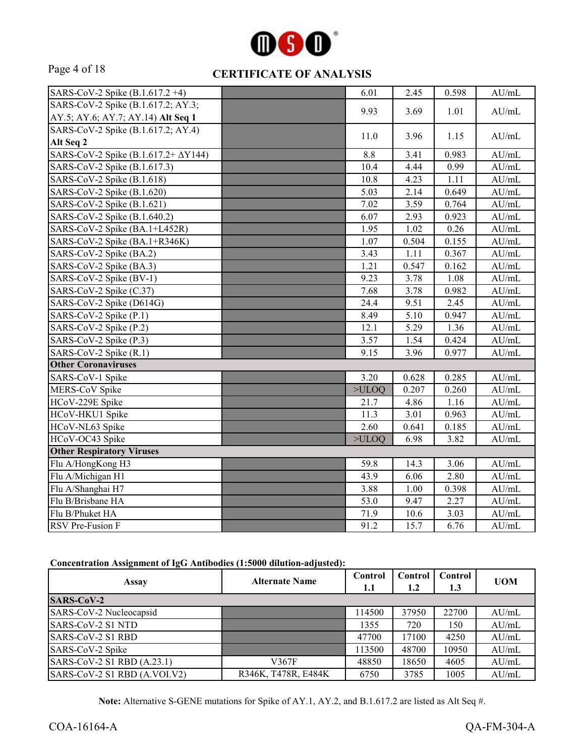

#### Page 4 of 18 **CERTIFICATE OF ANALYSIS**

| SARS-CoV-2 Spike (B.1.617.2+4)              | 6.01  | 2.45  | 0.598 | AU/mL            |
|---------------------------------------------|-------|-------|-------|------------------|
| SARS-CoV-2 Spike (B.1.617.2; AY.3;          |       |       |       |                  |
| AY.5; AY.6; AY.7; AY.14) Alt Seq 1          | 9.93  | 3.69  | 1.01  | AU/mL            |
| SARS-CoV-2 Spike (B.1.617.2; AY.4)          | 11.0  | 3.96  | 1.15  | $\mathrm{AU/mL}$ |
| Alt Seq 2                                   |       |       |       |                  |
| SARS-CoV-2 Spike (B.1.617.2+ $\Delta$ Y144) | 8.8   | 3.41  | 0.983 | AU/mL            |
| SARS-CoV-2 Spike (B.1.617.3)                | 10.4  | 4.44  | 0.99  | $\mathrm{AU/mL}$ |
| SARS-CoV-2 Spike (B.1.618)                  | 10.8  | 4.23  | 1.11  | $\mathrm{AU/mL}$ |
| SARS-CoV-2 Spike (B.1.620)                  | 5.03  | 2.14  | 0.649 | $\mathrm{AU/mL}$ |
| SARS-CoV-2 Spike (B.1.621)                  | 7.02  | 3.59  | 0.764 | $\mathrm{AU/mL}$ |
| SARS-CoV-2 Spike (B.1.640.2)                | 6.07  | 2.93  | 0.923 | AU/mL            |
| SARS-CoV-2 Spike (BA.1+L452R)               | 1.95  | 1.02  | 0.26  | AU/mL            |
| SARS-CoV-2 Spike (BA.1+R346K)               | 1.07  | 0.504 | 0.155 | AU/mL            |
| SARS-CoV-2 Spike (BA.2)                     | 3.43  | 1.11  | 0.367 | AU/mL            |
| SARS-CoV-2 Spike (BA.3)                     | 1.21  | 0.547 | 0.162 | AU/mL            |
| SARS-CoV-2 Spike (BV-1)                     | 9.23  | 3.78  | 1.08  | AU/mL            |
| SARS-CoV-2 Spike (C.37)                     | 7.68  | 3.78  | 0.982 | AU/mL            |
| SARS-CoV-2 Spike (D614G)                    | 24.4  | 9.51  | 2.45  | AU/mL            |
| SARS-CoV-2 Spike (P.1)                      | 8.49  | 5.10  | 0.947 | $\mathrm{AU/mL}$ |
| SARS-CoV-2 Spike (P.2)                      | 12.1  | 5.29  | 1.36  | AU/mL            |
| SARS-CoV-2 Spike (P.3)                      | 3.57  | 1.54  | 0.424 | AU/mL            |
| SARS-CoV-2 Spike (R.1)                      | 9.15  | 3.96  | 0.977 | AU/mL            |
| <b>Other Coronaviruses</b>                  |       |       |       |                  |
| SARS-CoV-1 Spike                            | 3.20  | 0.628 | 0.285 | AU/mL            |
| MERS-CoV Spike                              | >ULOQ | 0.207 | 0.260 | AU/mL            |
| HCoV-229E Spike                             | 21.7  | 4.86  | 1.16  | AU/mL            |
| HCoV-HKU1 Spike                             | 11.3  | 3.01  | 0.963 | AU/mL            |
| HCoV-NL63 Spike                             | 2.60  | 0.641 | 0.185 | AU/mL            |
| HCoV-OC43 Spike                             | >ULOQ | 6.98  | 3.82  | AU/mL            |
| <b>Other Respiratory Viruses</b>            |       |       |       |                  |
| Flu A/HongKong H3                           | 59.8  | 14.3  | 3.06  | AU/mL            |
| Flu A/Michigan H1                           | 43.9  | 6.06  | 2.80  | AU/mL            |
| Flu A/Shanghai H7                           | 3.88  | 1.00  | 0.398 | AU/mL            |
| Flu B/Brisbane HA                           | 53.0  | 9.47  | 2.27  | $\mathrm{AU/mL}$ |
| Flu B/Phuket HA                             | 71.9  | 10.6  | 3.03  | $\mathrm{AU/mL}$ |
| <b>RSV</b> Pre-Fusion F                     | 91.2  | 15.7  | 6.76  | AU/mL            |

#### **Concentration Assignment of IgG Antibodies (1:5000 dilution-adjusted):**

| Assay                        | <b>Alternate Name</b> | Control<br>1.1 | Control<br>1.2 | Control<br>1.3 | <b>UOM</b> |
|------------------------------|-----------------------|----------------|----------------|----------------|------------|
| <b>SARS-CoV-2</b>            |                       |                |                |                |            |
| SARS-CoV-2 Nucleocapsid      |                       | 14500          | 37950          | 22700          | AU/mL      |
| SARS-CoV-2 S1 NTD            |                       | 1355           | 720            | 150            | AU/mL      |
| SARS-CoV-2 S1 RBD            |                       | 47700          | 17100          | 4250           | AU/mL      |
| SARS-CoV-2 Spike             |                       | 113500         | 48700          | 10950          | AU/mL      |
| SARS-CoV-2 S1 RBD (A.23.1)   | V367F                 | 48850          | 18650          | 4605           | AU/mL      |
| SARS-CoV-2 S1 RBD (A.VOI.V2) | R346K, T478R, E484K   | 6750           | 3785           | 1005           | AU/mL      |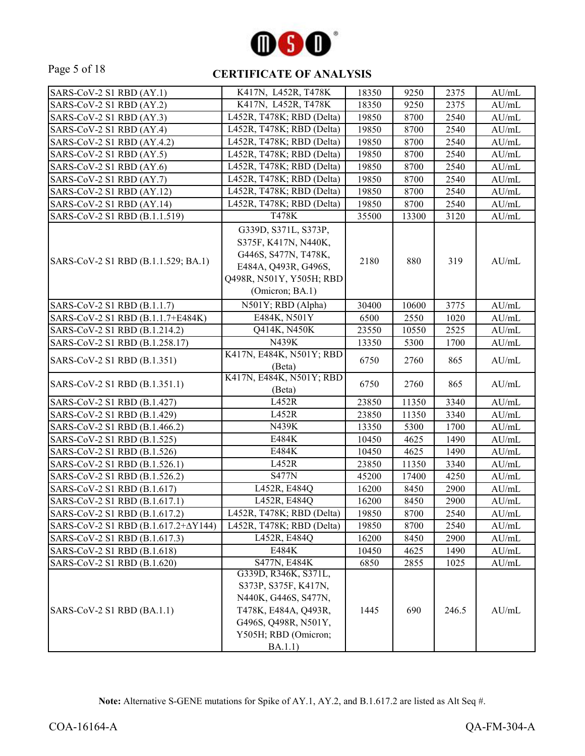

## Page 5 of 18 **CERTIFICATE OF ANALYSIS**

| SARS-CoV-2 S1 RBD (AY.1)            | K417N, L452R, T478K                                                                                                                          | 18350 | 9250  | 2375  | AU/mL            |
|-------------------------------------|----------------------------------------------------------------------------------------------------------------------------------------------|-------|-------|-------|------------------|
| SARS-CoV-2 S1 RBD (AY.2)            | K417N, L452R, T478K                                                                                                                          | 18350 | 9250  | 2375  | AU/mL            |
| SARS-CoV-2 S1 RBD (AY.3)            | L452R, T478K; RBD (Delta)                                                                                                                    | 19850 | 8700  | 2540  | AU/mL            |
| SARS-CoV-2 S1 RBD (AY.4)            | L452R, T478K; RBD (Delta)                                                                                                                    | 19850 | 8700  | 2540  | AU/mL            |
| SARS-CoV-2 S1 RBD (AY.4.2)          | L452R, T478K; RBD (Delta)                                                                                                                    | 19850 | 8700  | 2540  | AU/mL            |
| SARS-CoV-2 S1 RBD (AY.5)            | L452R, T478K; RBD (Delta)                                                                                                                    | 19850 | 8700  | 2540  | AU/mL            |
| SARS-CoV-2 S1 RBD (AY.6)            | L452R, T478K; RBD (Delta)                                                                                                                    | 19850 | 8700  | 2540  | $\mathrm{AU/mL}$ |
| SARS-CoV-2 S1 RBD (AY.7)            | L452R, T478K; RBD (Delta)                                                                                                                    | 19850 | 8700  | 2540  | AU/mL            |
| SARS-CoV-2 S1 RBD (AY.12)           | L452R, T478K; RBD (Delta)                                                                                                                    | 19850 | 8700  | 2540  | AU/mL            |
| SARS-CoV-2 S1 RBD (AY.14)           | L452R, T478K; RBD (Delta)                                                                                                                    | 19850 | 8700  | 2540  | AU/mL            |
| SARS-CoV-2 S1 RBD (B.1.1.519)       | T478K                                                                                                                                        | 35500 | 13300 | 3120  | AU/mL            |
| SARS-CoV-2 S1 RBD (B.1.1.529; BA.1) | G339D, S371L, S373P,<br>S375F, K417N, N440K,<br>G446S, S477N, T478K,<br>E484A, Q493R, G496S,<br>Q498R, N501Y, Y505H; RBD<br>(Omicron; BA.1)  | 2180  | 880   | 319   | AU/mL            |
| SARS-CoV-2 S1 RBD (B.1.1.7)         | N501Y; RBD (Alpha)                                                                                                                           | 30400 | 10600 | 3775  | AU/mL            |
| SARS-CoV-2 S1 RBD (B.1.1.7+E484K)   | E484K, N501Y                                                                                                                                 | 6500  | 2550  | 1020  | AU/mL            |
| SARS-CoV-2 S1 RBD (B.1.214.2)       | Q414K, N450K                                                                                                                                 | 23550 | 10550 | 2525  | AU/mL            |
| SARS-CoV-2 S1 RBD (B.1.258.17)      | N439K                                                                                                                                        | 13350 | 5300  | 1700  | AU/mL            |
| SARS-CoV-2 S1 RBD (B.1.351)         | K417N, E484K, N501Y; RBD<br>(Beta)                                                                                                           | 6750  | 2760  | 865   | AU/mL            |
| SARS-CoV-2 S1 RBD (B.1.351.1)       | K417N, E484K, N501Y; RBD<br>(Beta)                                                                                                           | 6750  | 2760  | 865   | AU/mL            |
| SARS-CoV-2 S1 RBD (B.1.427)         | L452R                                                                                                                                        | 23850 | 11350 | 3340  | AU/mL            |
| SARS-CoV-2 S1 RBD (B.1.429)         | L452R                                                                                                                                        | 23850 | 11350 | 3340  | AU/mL            |
| SARS-CoV-2 S1 RBD (B.1.466.2)       | N439K                                                                                                                                        | 13350 | 5300  | 1700  | AU/mL            |
| SARS-CoV-2 S1 RBD (B.1.525)         | E484K                                                                                                                                        | 10450 | 4625  | 1490  | AU/mL            |
| SARS-CoV-2 S1 RBD (B.1.526)         | E484K                                                                                                                                        | 10450 | 4625  | 1490  | AU/mL            |
| SARS-CoV-2 S1 RBD (B.1.526.1)       | L452R                                                                                                                                        | 23850 | 11350 | 3340  | AU/mL            |
| SARS-CoV-2 S1 RBD (B.1.526.2)       | <b>S477N</b>                                                                                                                                 | 45200 | 17400 | 4250  | $\mathrm{AU/mL}$ |
| SARS-CoV-2 S1 RBD (B.1.617)         | L452R, E484Q                                                                                                                                 | 16200 | 8450  | 2900  | AU/mL            |
| SARS-CoV-2 S1 RBD (B.1.617.1)       | L452R, E484Q                                                                                                                                 | 16200 | 8450  | 2900  | AU/mL            |
| SARS-CoV-2 S1 RBD (B.1.617.2)       | L452R, T478K; RBD (Delta)                                                                                                                    | 19850 | 8700  | 2540  | AU/mL            |
| SARS-CoV-2 S1 RBD (Β.1.617.2+ΔY144) | L452R, T478K; RBD (Delta)                                                                                                                    | 19850 | 8700  | 2540  | AU/mL            |
| SARS-CoV-2 S1 RBD (B.1.617.3)       | L452R, E484Q                                                                                                                                 | 16200 | 8450  | 2900  | AU/mL            |
| SARS-CoV-2 S1 RBD (B.1.618)         | E484K                                                                                                                                        | 10450 | 4625  | 1490  | AU/mL            |
| SARS-CoV-2 S1 RBD (B.1.620)         | S477N, E484K                                                                                                                                 | 6850  | 2855  | 1025  | AU/mL            |
| SARS-CoV-2 S1 RBD (BA.1.1)          | G339D, R346K, S371L,<br>S373P, S375F, K417N,<br>N440K, G446S, S477N,<br>T478K, E484A, Q493R,<br>G496S, Q498R, N501Y,<br>Y505H; RBD (Omicron; | 1445  | 690   | 246.5 | AU/mL            |
|                                     | BA.1.1)                                                                                                                                      |       |       |       |                  |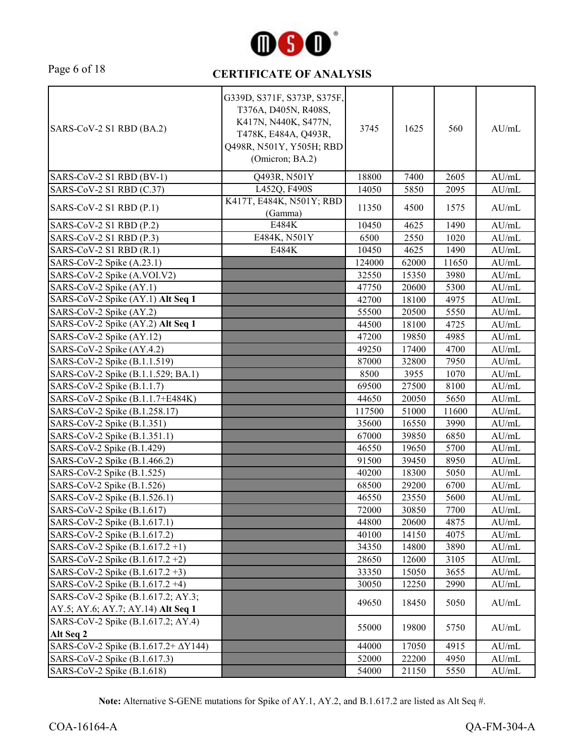

# Page 6 of 18 **CERTIFICATE OF ANALYSIS**

| SARS-CoV-2 S1 RBD (BA.2)                                                 | G339D, S371F, S373P, S375F,<br>T376A, D405N, R408S,<br>K417N, N440K, S477N,<br>T478K, E484A, Q493R,<br>Q498R, N501Y, Y505H; RBD<br>(Omicron; BA.2) | 3745   | 1625  | 560   | AU/mL            |
|--------------------------------------------------------------------------|----------------------------------------------------------------------------------------------------------------------------------------------------|--------|-------|-------|------------------|
| SARS-CoV-2 S1 RBD (BV-1)                                                 | Q493R, N501Y                                                                                                                                       | 18800  | 7400  | 2605  | AU/mL            |
| SARS-CoV-2 S1 RBD (C.37)                                                 | L452Q, F490S                                                                                                                                       | 14050  | 5850  | 2095  | AU/mL            |
| $SARS-CoV-2 S1 RBD (P.1)$                                                | K417T, E484K, N501Y; RBD<br>(Gamma)                                                                                                                | 11350  | 4500  | 1575  | AU/mL            |
| SARS-CoV-2 S1 RBD (P.2)                                                  | E484K                                                                                                                                              | 10450  | 4625  | 1490  | AU/mL            |
| SARS-CoV-2 S1 RBD (P.3)                                                  | E484K, N501Y                                                                                                                                       | 6500   | 2550  | 1020  | AU/mL            |
| SARS-CoV-2 S1 RBD (R.1)                                                  | E484K                                                                                                                                              | 10450  | 4625  | 1490  | AU/mL            |
| SARS-CoV-2 Spike (A.23.1)                                                |                                                                                                                                                    | 124000 | 62000 | 11650 | AU/mL            |
| SARS-CoV-2 Spike (A.VOI.V2)                                              |                                                                                                                                                    | 32550  | 15350 | 3980  | AU/mL            |
| SARS-CoV-2 Spike (AY.1)                                                  |                                                                                                                                                    | 47750  | 20600 | 5300  | AU/mL            |
| SARS-CoV-2 Spike (AY.1) Alt Seq 1                                        |                                                                                                                                                    | 42700  | 18100 | 4975  | AU/mL            |
| SARS-CoV-2 Spike (AY.2)                                                  |                                                                                                                                                    | 55500  | 20500 | 5550  | AU/mL            |
| SARS-CoV-2 Spike (AY.2) Alt Seq 1                                        |                                                                                                                                                    | 44500  | 18100 | 4725  | AU/mL            |
| SARS-CoV-2 Spike (AY.12)                                                 |                                                                                                                                                    | 47200  | 19850 | 4985  | AU/mL            |
| SARS-CoV-2 Spike (AY.4.2)                                                |                                                                                                                                                    | 49250  | 17400 | 4700  | AU/mL            |
| SARS-CoV-2 Spike (B.1.1.519)                                             |                                                                                                                                                    | 87000  | 32800 | 7950  | AU/mL            |
| SARS-CoV-2 Spike (B.1.1.529; BA.1)                                       |                                                                                                                                                    | 8500   | 3955  | 1070  | AU/mL            |
| SARS-CoV-2 Spike (B.1.1.7)                                               |                                                                                                                                                    | 69500  | 27500 | 8100  | AU/mL            |
| SARS-CoV-2 Spike (B.1.1.7+E484K)                                         |                                                                                                                                                    | 44650  | 20050 | 5650  | AU/mL            |
| SARS-CoV-2 Spike (B.1.258.17)                                            |                                                                                                                                                    | 117500 | 51000 | 11600 | AU/mL            |
| SARS-CoV-2 Spike (B.1.351)                                               |                                                                                                                                                    | 35600  | 16550 | 3990  | AU/mL            |
| SARS-CoV-2 Spike (B.1.351.1)                                             |                                                                                                                                                    | 67000  | 39850 | 6850  | AU/mL            |
| SARS-CoV-2 Spike (B.1.429)                                               |                                                                                                                                                    | 46550  | 19650 | 5700  | AU/mL            |
| SARS-CoV-2 Spike (B.1.466.2)                                             |                                                                                                                                                    | 91500  | 39450 | 8950  | AU/mL            |
| SARS-CoV-2 Spike (B.1.525)                                               |                                                                                                                                                    | 40200  | 18300 | 5050  | AU/mL            |
| SARS-CoV-2 Spike (B.1.526)                                               |                                                                                                                                                    | 68500  | 29200 | 6700  | $\mathrm{AU/mL}$ |
| SARS-CoV-2 Spike (B.1.526.1)                                             |                                                                                                                                                    | 46550  | 23550 | 5600  | AU/mL            |
| SARS-CoV-2 Spike (B.1.617)                                               |                                                                                                                                                    | 72000  | 30850 | 7700  | AU/mL            |
| SARS-CoV-2 Spike (B.1.617.1)                                             |                                                                                                                                                    | 44800  | 20600 | 4875  | AU/mL            |
| SARS-CoV-2 Spike (B.1.617.2)                                             |                                                                                                                                                    | 40100  | 14150 | 4075  | AU/mL            |
| SARS-CoV-2 Spike (B.1.617.2+1)                                           |                                                                                                                                                    | 34350  | 14800 | 3890  | AU/mL            |
| SARS-CoV-2 Spike (B.1.617.2+2)                                           |                                                                                                                                                    | 28650  | 12600 | 3105  | AU/mL            |
| SARS-CoV-2 Spike (B.1.617.2+3)                                           |                                                                                                                                                    | 33350  | 15050 | 3655  | AU/mL            |
| SARS-CoV-2 Spike (B.1.617.2+4)                                           |                                                                                                                                                    | 30050  | 12250 | 2990  | AU/mL            |
| SARS-CoV-2 Spike (B.1.617.2; AY.3;                                       |                                                                                                                                                    | 49650  | 18450 | 5050  | AU/mL            |
| AY.5; AY.6; AY.7; AY.14) Alt Seq 1<br>SARS-CoV-2 Spike (B.1.617.2; AY.4) |                                                                                                                                                    |        |       |       |                  |
| Alt Seq 2                                                                |                                                                                                                                                    | 55000  | 19800 | 5750  | AU/mL            |
| SARS-CoV-2 Spike (B.1.617.2+ $\Delta$ Y144)                              |                                                                                                                                                    | 44000  | 17050 | 4915  | AU/mL            |
| SARS-CoV-2 Spike (B.1.617.3)                                             |                                                                                                                                                    | 52000  | 22200 | 4950  | AU/mL            |
| SARS-CoV-2 Spike (B.1.618)                                               |                                                                                                                                                    | 54000  | 21150 | 5550  | AU/mL            |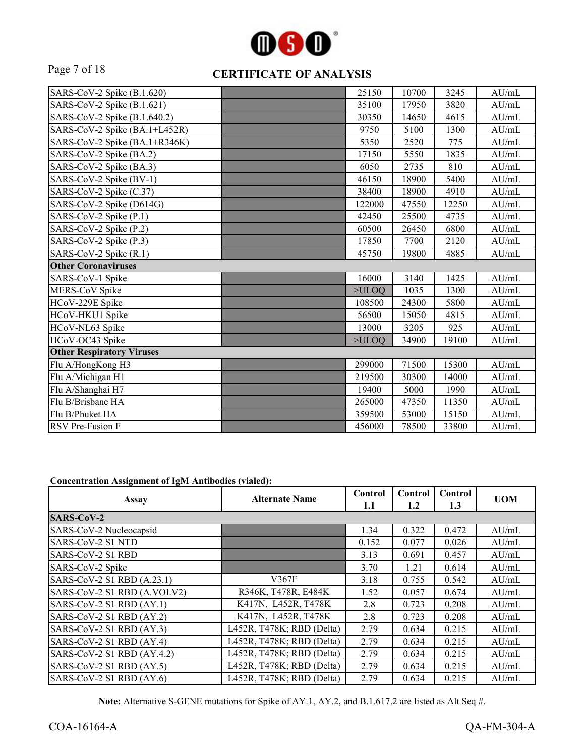

#### Page 7 of 18 **CERTIFICATE OF ANALYSIS**

| SARS-CoV-2 Spike (B.1.620)       | 25150  | 10700 | 3245  | AU/mL            |
|----------------------------------|--------|-------|-------|------------------|
| SARS-CoV-2 Spike (B.1.621)       | 35100  | 17950 | 3820  | AU/mL            |
| SARS-CoV-2 Spike (B.1.640.2)     | 30350  | 14650 | 4615  | AU/mL            |
| SARS-CoV-2 Spike (BA.1+L452R)    | 9750   | 5100  | 1300  | AU/mL            |
| SARS-CoV-2 Spike (BA.1+R346K)    | 5350   | 2520  | 775   | AU/mL            |
| SARS-CoV-2 Spike (BA.2)          | 17150  | 5550  | 1835  | AU/mL            |
| SARS-CoV-2 Spike (BA.3)          | 6050   | 2735  | 810   | AU/mL            |
| SARS-CoV-2 Spike (BV-1)          | 46150  | 18900 | 5400  | AU/mL            |
| SARS-CoV-2 Spike (C.37)          | 38400  | 18900 | 4910  | AU/mL            |
| SARS-CoV-2 Spike (D614G)         | 122000 | 47550 | 12250 | AU/mL            |
| SARS-CoV-2 Spike (P.1)           | 42450  | 25500 | 4735  | AU/mL            |
| SARS-CoV-2 Spike (P.2)           | 60500  | 26450 | 6800  | AU/mL            |
| SARS-CoV-2 Spike (P.3)           | 17850  | 7700  | 2120  | AU/mL            |
| SARS-CoV-2 Spike (R.1)           | 45750  | 19800 | 4885  | $\mathrm{AU/mL}$ |
| <b>Other Coronaviruses</b>       |        |       |       |                  |
|                                  |        |       |       |                  |
| SARS-CoV-1 Spike                 | 16000  | 3140  | 1425  | AU/mL            |
| MERS-CoV Spike                   | >ULOQ  | 1035  | 1300  | AU/mL            |
| HCoV-229E Spike                  | 108500 | 24300 | 5800  | AU/mL            |
| HCoV-HKU1 Spike                  | 56500  | 15050 | 4815  | AU/mL            |
| HCoV-NL63 Spike                  | 13000  | 3205  | 925   | AU/mL            |
| HCoV-OC43 Spike                  | >ULOO  | 34900 | 19100 | AU/mL            |
| <b>Other Respiratory Viruses</b> |        |       |       |                  |
| Flu A/HongKong H3                | 299000 | 71500 | 15300 | AU/mL            |
| Flu A/Michigan H1                | 219500 | 30300 | 14000 | AU/mL            |
| Flu A/Shanghai H7                | 19400  | 5000  | 1990  | AU/mL            |
| Flu B/Brisbane HA                | 265000 | 47350 | 11350 | AU/mL            |
| Flu B/Phuket HA                  | 359500 | 53000 | 15150 | AU/mL            |

#### **Concentration Assignment of IgM Antibodies (vialed):**

| Assay                        | <b>Alternate Name</b>     | Control<br>1.1 | Control<br>1.2 | Control<br>1.3 | <b>UOM</b> |
|------------------------------|---------------------------|----------------|----------------|----------------|------------|
| <b>SARS-CoV-2</b>            |                           |                |                |                |            |
| SARS-CoV-2 Nucleocapsid      |                           | 1.34           | 0.322          | 0.472          | AU/mL      |
| SARS-CoV-2 S1 NTD            |                           | 0.152          | 0.077          | 0.026          | AU/mL      |
| SARS-CoV-2 S1 RBD            |                           | 3.13           | 0.691          | 0.457          | AU/mL      |
| SARS-CoV-2 Spike             |                           | 3.70           | 1.21           | 0.614          | AU/mL      |
| SARS-CoV-2 S1 RBD (A.23.1)   | V367F                     | 3.18           | 0.755          | 0.542          | AU/mL      |
| SARS-CoV-2 S1 RBD (A.VOI.V2) | R346K, T478R, E484K       | 1.52           | 0.057          | 0.674          | AU/mL      |
| SARS-CoV-2 S1 RBD (AY.1)     | K417N, L452R, T478K       | 2.8            | 0.723          | 0.208          | AU/mL      |
| SARS-CoV-2 S1 RBD (AY.2)     | K417N, L452R, T478K       | 2.8            | 0.723          | 0.208          | AU/mL      |
| SARS-CoV-2 S1 RBD (AY.3)     | L452R, T478K; RBD (Delta) | 2.79           | 0.634          | 0.215          | AU/mL      |
| SARS-CoV-2 S1 RBD (AY.4)     | L452R, T478K; RBD (Delta) | 2.79           | 0.634          | 0.215          | AU/mL      |
| SARS-CoV-2 S1 RBD (AY.4.2)   | L452R, T478K; RBD (Delta) | 2.79           | 0.634          | 0.215          | AU/mL      |
| SARS-CoV-2 S1 RBD (AY.5)     | L452R, T478K; RBD (Delta) | 2.79           | 0.634          | 0.215          | AU/mL      |
| SARS-CoV-2 S1 RBD (AY.6)     | L452R, T478K; RBD (Delta) | 2.79           | 0.634          | 0.215          | AU/mL      |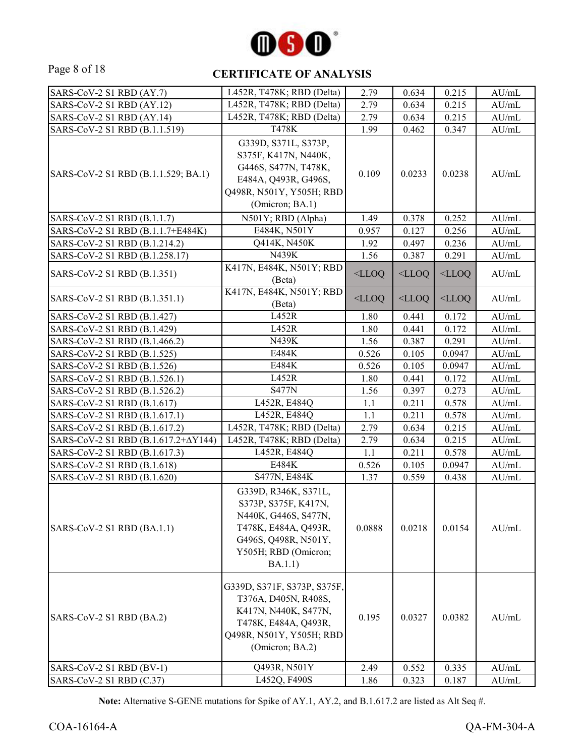

#### Page 8 of 18 **CERTIFICATE OF ANALYSIS**

| SARS-CoV-2 S1 RBD (AY.7)            | L452R, T478K; RBD (Delta)                                                                                                                               | 2.79     | 0.634    | 0.215    | AU/mL |
|-------------------------------------|---------------------------------------------------------------------------------------------------------------------------------------------------------|----------|----------|----------|-------|
| SARS-CoV-2 S1 RBD (AY.12)           | L452R, T478K; RBD (Delta)                                                                                                                               | 2.79     | 0.634    | 0.215    | AU/mL |
| SARS-CoV-2 S1 RBD (AY.14)           | L452R, T478K; RBD (Delta)                                                                                                                               | 2.79     | 0.634    | 0.215    | AU/mL |
| SARS-CoV-2 S1 RBD (B.1.1.519)       | <b>T478K</b>                                                                                                                                            | 1.99     | 0.462    | 0.347    | AU/mL |
| SARS-CoV-2 S1 RBD (B.1.1.529; BA.1) | G339D, S371L, S373P,<br>S375F, K417N, N440K,<br>G446S, S477N, T478K,<br>E484A, Q493R, G496S,<br>Q498R, N501Y, Y505H; RBD<br>(Omicron; BA.1)             | 0.109    | 0.0233   | 0.0238   | AU/mL |
| SARS-CoV-2 S1 RBD (B.1.1.7)         | N501Y; RBD (Alpha)                                                                                                                                      | 1.49     | 0.378    | 0.252    | AU/mL |
| SARS-CoV-2 S1 RBD (B.1.1.7+E484K)   | E484K, N501Y                                                                                                                                            | 0.957    | 0.127    | 0.256    | AU/mL |
| SARS-CoV-2 S1 RBD (B.1.214.2)       | Q414K, N450K                                                                                                                                            | 1.92     | 0.497    | 0.236    | AU/mL |
| SARS-CoV-2 S1 RBD (B.1.258.17)      | N439K                                                                                                                                                   | 1.56     | 0.387    | 0.291    | AU/mL |
| SARS-CoV-2 S1 RBD (B.1.351)         | K417N, E484K, N501Y; RBD<br>(Beta)                                                                                                                      | $<$ LLOQ | $<$ LLOQ | $<$ LLOQ | AU/mL |
| SARS-CoV-2 S1 RBD (B.1.351.1)       | K417N, E484K, N501Y; RBD<br>(Beta)                                                                                                                      | $<$ LLOQ | $<$ LLOQ | $<$ LLOQ | AU/mL |
| SARS-CoV-2 S1 RBD (B.1.427)         | L452R                                                                                                                                                   | 1.80     | 0.441    | 0.172    | AU/mL |
| SARS-CoV-2 S1 RBD (B.1.429)         | L452R                                                                                                                                                   | 1.80     | 0.441    | 0.172    | AU/mL |
| SARS-CoV-2 S1 RBD (B.1.466.2)       | N439K                                                                                                                                                   | 1.56     | 0.387    | 0.291    | AU/mL |
| SARS-CoV-2 S1 RBD (B.1.525)         | E484K                                                                                                                                                   | 0.526    | 0.105    | 0.0947   | AU/mL |
| SARS-CoV-2 S1 RBD (B.1.526)         | E484K                                                                                                                                                   | 0.526    | 0.105    | 0.0947   | AU/mL |
| SARS-CoV-2 S1 RBD (B.1.526.1)       | L452R                                                                                                                                                   | 1.80     | 0.441    | 0.172    | AU/mL |
| SARS-CoV-2 S1 RBD (B.1.526.2)       | <b>S477N</b>                                                                                                                                            | 1.56     | 0.397    | 0.273    | AU/mL |
| SARS-CoV-2 S1 RBD (B.1.617)         | L452R, E484Q                                                                                                                                            | 1.1      | 0.211    | 0.578    | AU/mL |
| SARS-CoV-2 S1 RBD (B.1.617.1)       | L452R, E484Q                                                                                                                                            | 1.1      | 0.211    | 0.578    | AU/mL |
| SARS-CoV-2 S1 RBD (B.1.617.2)       | L452R, T478K; RBD (Delta)                                                                                                                               | 2.79     | 0.634    | 0.215    | AU/mL |
| SARS-CoV-2 S1 RBD (Β.1.617.2+ΔY144) | L452R, T478K; RBD (Delta)                                                                                                                               | 2.79     | 0.634    | 0.215    | AU/mL |
| SARS-CoV-2 S1 RBD (B.1.617.3)       | L452R, E484Q                                                                                                                                            | 1.1      | 0.211    | 0.578    | AU/mL |
| SARS-CoV-2 S1 RBD (B.1.618)         | E484K                                                                                                                                                   | 0.526    | 0.105    | 0.0947   | AU/mL |
| SARS-CoV-2 S1 RBD (B.1.620)         | S477N, E484K                                                                                                                                            | 1.37     | 0.559    | 0.438    | AU/mL |
| SARS-CoV-2 S1 RBD (BA.1.1)          | G339D, R346K, S371L,<br>S373P, S375F, K417N,<br>N440K, G446S, S477N,<br>T478K, E484A, Q493R,<br>G496S, Q498R, N501Y,<br>Y505H; RBD (Omicron;<br>BA.1.1) | 0.0888   | 0.0218   | 0.0154   | AU/mL |
| SARS-CoV-2 S1 RBD (BA.2)            | G339D, S371F, S373P, S375F,<br>T376A, D405N, R408S,<br>K417N, N440K, S477N,<br>T478K, E484A, Q493R,<br>Q498R, N501Y, Y505H; RBD<br>(Omicron; BA.2)      | 0.195    | 0.0327   | 0.0382   | AU/mL |
| SARS-CoV-2 S1 RBD (BV-1)            | Q493R, N501Y                                                                                                                                            | 2.49     | 0.552    | 0.335    | AU/mL |
| SARS-CoV-2 S1 RBD (C.37)            | L452Q, F490S                                                                                                                                            | 1.86     | 0.323    | 0.187    | AU/mL |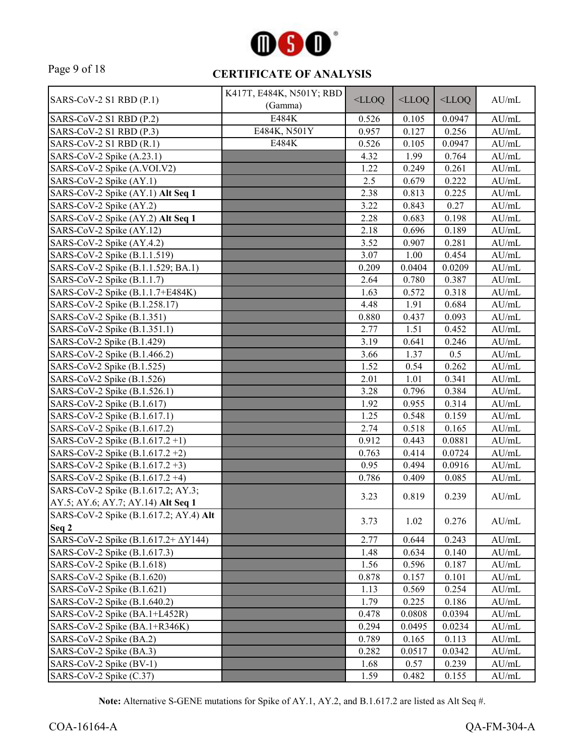

# Page 9 of 18 **CERTIFICATE OF ANALYSIS**

|                                             | K417T, E484K, N501Y; RBD |          |          |          |                  |
|---------------------------------------------|--------------------------|----------|----------|----------|------------------|
| SARS-CoV-2 S1 RBD (P.1)                     | (Gamma)                  | $<$ LLOQ | $<$ LLOQ | $<$ LLOQ | AU/mL            |
| SARS-CoV-2 S1 RBD (P.2)                     | <b>E484K</b>             | 0.526    | 0.105    | 0.0947   | AU/mL            |
| SARS-CoV-2 S1 RBD (P.3)                     | E484K, N501Y             | 0.957    | 0.127    | 0.256    | AU/mL            |
| SARS-CoV-2 S1 RBD (R.1)                     | E484K                    | 0.526    | 0.105    | 0.0947   | AU/mL            |
| SARS-CoV-2 Spike (A.23.1)                   |                          | 4.32     | 1.99     | 0.764    | AU/mL            |
| SARS-CoV-2 Spike (A.VOI.V2)                 |                          | 1.22     | 0.249    | 0.261    | AU/mL            |
| SARS-CoV-2 Spike (AY.1)                     |                          | 2.5      | 0.679    | 0.222    | AU/mL            |
| SARS-CoV-2 Spike (AY.1) Alt Seq 1           |                          | 2.38     | 0.813    | 0.225    | $\mathrm{AU/mL}$ |
| SARS-CoV-2 Spike (AY.2)                     |                          | 3.22     | 0.843    | 0.27     | $\mathrm{AU/mL}$ |
| SARS-CoV-2 Spike (AY.2) Alt Seq 1           |                          | 2.28     | 0.683    | 0.198    | $\mathrm{AU/mL}$ |
| SARS-CoV-2 Spike (AY.12)                    |                          | 2.18     | 0.696    | 0.189    | AU/mL            |
| SARS-CoV-2 Spike (AY.4.2)                   |                          | 3.52     | 0.907    | 0.281    | AU/mL            |
| SARS-CoV-2 Spike (B.1.1.519)                |                          | 3.07     | 1.00     | 0.454    | $\mathrm{AU/mL}$ |
| SARS-CoV-2 Spike (B.1.1.529; BA.1)          |                          | 0.209    | 0.0404   | 0.0209   | $\mathrm{AU/mL}$ |
| SARS-CoV-2 Spike (B.1.1.7)                  |                          | 2.64     | 0.780    | 0.387    | $\mathrm{AU/mL}$ |
| SARS-CoV-2 Spike (B.1.1.7+E484K)            |                          | 1.63     | 0.572    | 0.318    | AU/mL            |
| SARS-CoV-2 Spike (B.1.258.17)               |                          | 4.48     | 1.91     | 0.684    | AU/mL            |
| SARS-CoV-2 Spike (B.1.351)                  |                          | 0.880    | 0.437    | 0.093    | AU/mL            |
| SARS-CoV-2 Spike (B.1.351.1)                |                          | 2.77     | 1.51     | 0.452    | $\mathrm{AU/mL}$ |
| SARS-CoV-2 Spike (B.1.429)                  |                          | 3.19     | 0.641    | 0.246    | $\mathrm{AU/mL}$ |
| SARS-CoV-2 Spike (B.1.466.2)                |                          | 3.66     | 1.37     | 0.5      | AU/mL            |
| SARS-CoV-2 Spike (B.1.525)                  |                          | 1.52     | 0.54     | 0.262    | AU/mL            |
| SARS-CoV-2 Spike (B.1.526)                  |                          | 2.01     | 1.01     | 0.341    | AU/mL            |
| SARS-CoV-2 Spike (B.1.526.1)                |                          | 3.28     | 0.796    | 0.384    | AU/mL            |
| SARS-CoV-2 Spike (B.1.617)                  |                          | 1.92     | 0.955    | 0.314    | $\mathrm{AU/mL}$ |
| SARS-CoV-2 Spike (B.1.617.1)                |                          | 1.25     | 0.548    | 0.159    | $\mathrm{AU/mL}$ |
| SARS-CoV-2 Spike (B.1.617.2)                |                          | 2.74     | 0.518    | 0.165    | $\mathrm{AU/mL}$ |
| SARS-CoV-2 Spike (B.1.617.2+1)              |                          | 0.912    | 0.443    | 0.0881   | AU/mL            |
| SARS-CoV-2 Spike (B.1.617.2+2)              |                          | 0.763    | 0.414    | 0.0724   | AU/mL            |
| SARS-CoV-2 Spike $(B.1.617.2 +3)$           |                          | 0.95     | 0.494    | 0.0916   | AU/mL            |
| SARS-CoV-2 Spike (B.1.617.2+4)              |                          | 0.786    | 0.409    | 0.085    | AU/mL            |
| SARS-CoV-2 Spike (B.1.617.2; AY.3;          |                          |          |          |          |                  |
| AY.5; AY.6; AY.7; AY.14) Alt Seq 1          |                          | 3.23     | 0.819    | 0.239    | AU/mL            |
| SARS-CoV-2 Spike (B.1.617.2; AY.4) Alt      |                          |          |          |          |                  |
| Seq 2                                       |                          | 3.73     | 1.02     | 0.276    | AU/mL            |
| SARS-CoV-2 Spike (B.1.617.2+ $\Delta$ Y144) |                          | 2.77     | 0.644    | 0.243    | AU/mL            |
| SARS-CoV-2 Spike (B.1.617.3)                |                          | 1.48     | 0.634    | 0.140    | AU/mL            |
| SARS-CoV-2 Spike (B.1.618)                  |                          | 1.56     | 0.596    | 0.187    | $\mathrm{AU/mL}$ |
| SARS-CoV-2 Spike (B.1.620)                  |                          | 0.878    | 0.157    | 0.101    | AU/mL            |
| SARS-CoV-2 Spike (B.1.621)                  |                          | 1.13     | 0.569    | 0.254    | AU/mL            |
| SARS-CoV-2 Spike (B.1.640.2)                |                          | 1.79     | 0.225    | 0.186    | AU/mL            |
| SARS-CoV-2 Spike (BA.1+L452R)               |                          | 0.478    | 0.0808   | 0.0394   | AU/mL            |
| SARS-CoV-2 Spike (BA.1+R346K)               |                          | 0.294    | 0.0495   | 0.0234   | $\mathrm{AU/mL}$ |
| SARS-CoV-2 Spike (BA.2)                     |                          | 0.789    | 0.165    | 0.113    | $\mathrm{AU/mL}$ |
| SARS-CoV-2 Spike (BA.3)                     |                          | 0.282    | 0.0517   | 0.0342   | AU/mL            |
| SARS-CoV-2 Spike (BV-1)                     |                          | 1.68     | 0.57     | 0.239    | AU/mL            |
| SARS-CoV-2 Spike (C.37)                     |                          | 1.59     | 0.482    | 0.155    | $\mathrm{AU/mL}$ |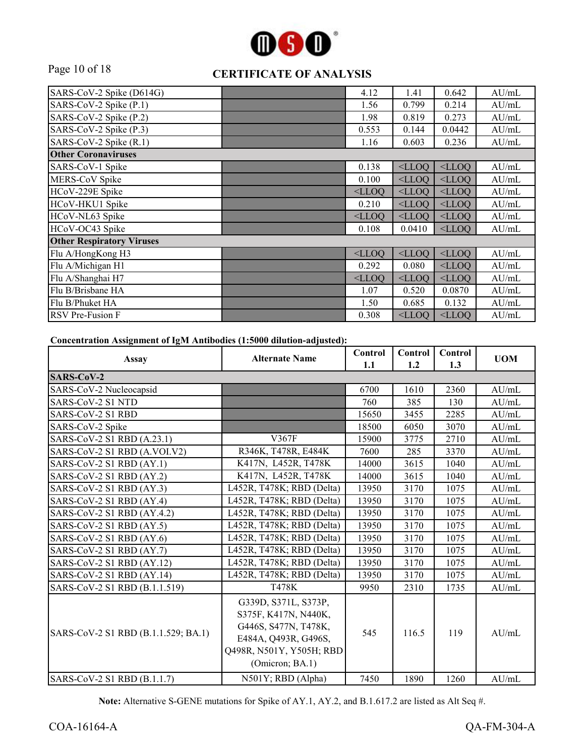

# Page 10 of 18 **CERTIFICATE OF ANALYSIS**

| SARS-CoV-2 Spike (D614G)         | 4.12     | 1.41     | 0.642    | AU/mL |
|----------------------------------|----------|----------|----------|-------|
| SARS-CoV-2 Spike (P.1)           | 1.56     | 0.799    | 0.214    | AU/mL |
| SARS-CoV-2 Spike (P.2)           | 1.98     | 0.819    | 0.273    | AU/mL |
| SARS-CoV-2 Spike (P.3)           | 0.553    | 0.144    | 0.0442   | AU/mL |
| SARS-CoV-2 Spike (R.1)           | 1.16     | 0.603    | 0.236    | AU/mL |
| <b>Other Coronaviruses</b>       |          |          |          |       |
| SARS-CoV-1 Spike                 | 0.138    | $<$ LLOO | $<$ LLOQ | AU/mL |
| MERS-CoV Spike                   | 0.100    | $<$ LLOO | $<$ LLOO | AU/mL |
| HCoV-229E Spike                  | $<$ LLOQ | $<$ LLOQ | $<$ LLOQ | AU/mL |
| HCoV-HKU1 Spike                  | 0.210    | $<$ LLOQ | $<$ LLOQ | AU/mL |
| HCoV-NL63 Spike                  | $<$ LLOO | $<$ LLOO | $<$ LLOO | AU/mL |
| HCoV-OC43 Spike                  | 0.108    | 0.0410   | $<$ LLOQ | AU/mL |
| <b>Other Respiratory Viruses</b> |          |          |          |       |
| Flu A/HongKong H3                | $<$ LLOO | $<$ LLOQ | $<$ LLOQ | AU/mL |
| Flu A/Michigan H1                | 0.292    | 0.080    | $<$ LLOQ | AU/mL |
| Flu A/Shanghai H7                | $<$ LLOQ | $<$ LLOO | $<$ LLOO | AU/mL |
| Flu B/Brisbane HA                | 1.07     | 0.520    | 0.0870   | AU/mL |
| Flu B/Phuket HA                  | 1.50     | 0.685    | 0.132    | AU/mL |
| <b>RSV</b> Pre-Fusion F          | 0.308    | $<$ LLOQ | $<$ LLOQ | AU/mL |

**Concentration Assignment of IgM Antibodies (1:5000 dilution-adjusted):**

| <b>Assay</b>                        | <b>Alternate Name</b>                                                                                                                       | Control<br>1.1 | Control<br>1.2 | Control<br>1.3 | <b>UOM</b> |
|-------------------------------------|---------------------------------------------------------------------------------------------------------------------------------------------|----------------|----------------|----------------|------------|
| <b>SARS-CoV-2</b>                   |                                                                                                                                             |                |                |                |            |
| SARS-CoV-2 Nucleocapsid             |                                                                                                                                             | 6700           | 1610           | 2360           | AU/mL      |
| SARS-CoV-2 S1 NTD                   |                                                                                                                                             | 760            | 385            | 130            | AU/mL      |
| SARS-CoV-2 S1 RBD                   |                                                                                                                                             | 15650          | 3455           | 2285           | AU/mL      |
| SARS-CoV-2 Spike                    |                                                                                                                                             | 18500          | 6050           | 3070           | AU/mL      |
| SARS-CoV-2 S1 RBD (A.23.1)          | V367F                                                                                                                                       | 15900          | 3775           | 2710           | AU/mL      |
| SARS-CoV-2 S1 RBD (A.VOI.V2)        | R346K, T478R, E484K                                                                                                                         | 7600           | 285            | 3370           | AU/mL      |
| SARS-CoV-2 S1 RBD (AY.1)            | K417N, L452R, T478K                                                                                                                         | 14000          | 3615           | 1040           | AU/mL      |
| SARS-CoV-2 S1 RBD (AY.2)            | K417N, L452R, T478K                                                                                                                         | 14000          | 3615           | 1040           | AU/mL      |
| SARS-CoV-2 S1 RBD (AY.3)            | L452R, T478K; RBD (Delta)                                                                                                                   | 13950          | 3170           | 1075           | AU/mL      |
| SARS-CoV-2 S1 RBD (AY.4)            | L452R, T478K; RBD (Delta)                                                                                                                   | 13950          | 3170           | 1075           | AU/mL      |
| SARS-CoV-2 S1 RBD (AY.4.2)          | L452R, T478K; RBD (Delta)                                                                                                                   | 13950          | 3170           | 1075           | AU/mL      |
| SARS-CoV-2 S1 RBD (AY.5)            | L452R, T478K; RBD (Delta)                                                                                                                   | 13950          | 3170           | 1075           | AU/mL      |
| SARS-CoV-2 S1 RBD (AY.6)            | L452R, T478K; RBD (Delta)                                                                                                                   | 13950          | 3170           | 1075           | AU/mL      |
| SARS-CoV-2 S1 RBD (AY.7)            | L452R, T478K; RBD (Delta)                                                                                                                   | 13950          | 3170           | 1075           | AU/mL      |
| SARS-CoV-2 S1 RBD (AY.12)           | L452R, T478K; RBD (Delta)                                                                                                                   | 13950          | 3170           | 1075           | AU/mL      |
| SARS-CoV-2 S1 RBD (AY.14)           | L452R, T478K; RBD (Delta)                                                                                                                   | 13950          | 3170           | 1075           | AU/mL      |
| SARS-CoV-2 S1 RBD (B.1.1.519)       | T478K                                                                                                                                       | 9950           | 2310           | 1735           | AU/mL      |
| SARS-CoV-2 S1 RBD (B.1.1.529; BA.1) | G339D, S371L, S373P,<br>S375F, K417N, N440K,<br>G446S, S477N, T478K,<br>E484A, Q493R, G496S,<br>Q498R, N501Y, Y505H; RBD<br>(Omicron; BA.1) | 545            | 116.5          | 119            | AU/mL      |
| SARS-CoV-2 S1 RBD (B.1.1.7)         | N501Y; RBD (Alpha)                                                                                                                          | 7450           | 1890           | 1260           | AU/mL      |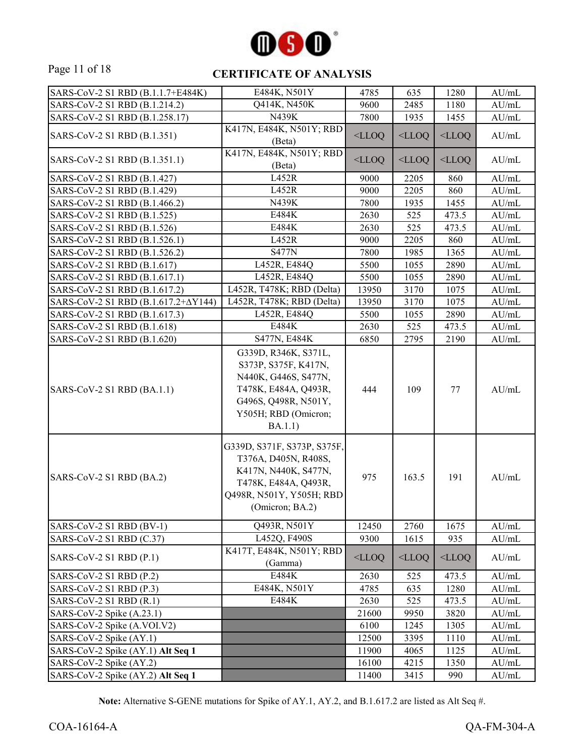

#### Page 11 of 18 **CERTIFICATE OF ANALYSIS**

| SARS-CoV-2 S1 RBD (B.1.1.7+E484K)   | E484K, N501Y                                                                                                                                            | 4785     | 635      | 1280     | AU/mL            |
|-------------------------------------|---------------------------------------------------------------------------------------------------------------------------------------------------------|----------|----------|----------|------------------|
| SARS-CoV-2 S1 RBD (B.1.214.2)       | Q414K, N450K                                                                                                                                            | 9600     | 2485     | 1180     | $\mathrm{AU/mL}$ |
| SARS-CoV-2 S1 RBD (B.1.258.17)      | N439K                                                                                                                                                   | 7800     | 1935     | 1455     | AU/mL            |
|                                     | K417N, E484K, N501Y; RBD                                                                                                                                |          |          |          |                  |
| SARS-CoV-2 S1 RBD (B.1.351)         | (Beta)                                                                                                                                                  | $<$ LLOQ | $<$ LLOQ | $<$ LLOQ | AU/mL            |
|                                     | K417N, E484K, N501Y; RBD                                                                                                                                |          |          |          |                  |
| SARS-CoV-2 S1 RBD (B.1.351.1)       | (Beta)                                                                                                                                                  | $<$ LLOQ | $<$ LLOQ | $<$ LLOQ | AU/mL            |
| SARS-CoV-2 S1 RBD (B.1.427)         | L452R                                                                                                                                                   | 9000     | 2205     | 860      | AU/mL            |
| SARS-CoV-2 S1 RBD (B.1.429)         | L452R                                                                                                                                                   | 9000     | 2205     | 860      | AU/mL            |
| SARS-CoV-2 S1 RBD (B.1.466.2)       | N439K                                                                                                                                                   | 7800     | 1935     | 1455     | AU/mL            |
| SARS-CoV-2 S1 RBD (B.1.525)         | E484K                                                                                                                                                   | 2630     | 525      | 473.5    | AU/mL            |
| SARS-CoV-2 S1 RBD (B.1.526)         | E484K                                                                                                                                                   | 2630     | 525      | 473.5    | AU/mL            |
| SARS-CoV-2 S1 RBD (B.1.526.1)       | L452R                                                                                                                                                   | 9000     | 2205     | 860      | AU/mL            |
| SARS-CoV-2 S1 RBD (B.1.526.2)       | <b>S477N</b>                                                                                                                                            | 7800     | 1985     | 1365     | AU/mL            |
| SARS-CoV-2 S1 RBD (B.1.617)         | L452R, E484Q                                                                                                                                            | 5500     | 1055     | 2890     | AU/mL            |
| SARS-CoV-2 S1 RBD (B.1.617.1)       | L452R, E484Q                                                                                                                                            | 5500     | 1055     | 2890     | AU/mL            |
| SARS-CoV-2 S1 RBD (B.1.617.2)       | L452R, T478K; RBD (Delta)                                                                                                                               | 13950    | 3170     | 1075     | AU/mL            |
| SARS-CoV-2 S1 RBD (Β.1.617.2+ΔY144) | L452R, T478K; RBD (Delta)                                                                                                                               | 13950    | 3170     | 1075     | AU/mL            |
| SARS-CoV-2 S1 RBD (B.1.617.3)       | L452R, E484Q                                                                                                                                            | 5500     | 1055     | 2890     | AU/mL            |
| SARS-CoV-2 S1 RBD (B.1.618)         | E484K                                                                                                                                                   | 2630     | 525      | 473.5    | AU/mL            |
| SARS-CoV-2 S1 RBD (B.1.620)         | S477N, E484K                                                                                                                                            | 6850     | 2795     | 2190     | AU/mL            |
| SARS-CoV-2 S1 RBD (BA.1.1)          | G339D, R346K, S371L,<br>S373P, S375F, K417N,<br>N440K, G446S, S477N,<br>T478K, E484A, Q493R,<br>G496S, Q498R, N501Y,<br>Y505H; RBD (Omicron;<br>BA.1.1) | 444      | 109      | 77       | AU/mL            |
| SARS-CoV-2 S1 RBD (BA.2)            | G339D, S371F, S373P, S375F,<br>T376A, D405N, R408S,<br>K417N, N440K, S477N,<br>T478K, E484A, Q493R,<br>Q498R, N501Y, Y505H; RBD<br>(Omicron; BA.2)      | 975      | 163.5    | 191      | AU/mL            |
| SARS-CoV-2 S1 RBD (BV-1)            | Q493R, N501Y                                                                                                                                            | 12450    | 2760     | 1675     | AU/mL            |
| SARS-CoV-2 S1 RBD (C.37)            | L452Q, F490S                                                                                                                                            | 9300     | 1615     | 935      | AU/mL            |
| SARS-CoV-2 S1 RBD (P.1)             | K417T, E484K, N501Y; RBD<br>(Gamma)                                                                                                                     | $<$ LLOQ | $<$ LLOQ | $<$ LLOQ | AU/mL            |
| $SARS-CoV-2 S1 RBD (P.2)$           | E484K                                                                                                                                                   | 2630     | 525      | 473.5    | AU/mL            |
| SARS-CoV-2 S1 RBD (P.3)             | E484K, N501Y                                                                                                                                            | 4785     | 635      | 1280     | AU/mL            |
| SARS-CoV-2 S1 RBD (R.1)             | E484K                                                                                                                                                   | 2630     | 525      | 473.5    | AU/mL            |
| SARS-CoV-2 Spike (A.23.1)           |                                                                                                                                                         | 21600    | 9950     | 3820     | AU/mL            |
| SARS-CoV-2 Spike (A.VOI.V2)         |                                                                                                                                                         | 6100     | 1245     | 1305     | AU/mL            |
| SARS-CoV-2 Spike (AY.1)             |                                                                                                                                                         | 12500    | 3395     | 1110     | AU/mL            |
| SARS-CoV-2 Spike (AY.1) Alt Seq 1   |                                                                                                                                                         | 11900    | 4065     | 1125     | AU/mL            |
| SARS-CoV-2 Spike (AY.2)             |                                                                                                                                                         | 16100    | 4215     | 1350     | AU/mL            |
| SARS-CoV-2 Spike (AY.2) Alt Seq 1   |                                                                                                                                                         | 11400    | 3415     | 990      | AU/mL            |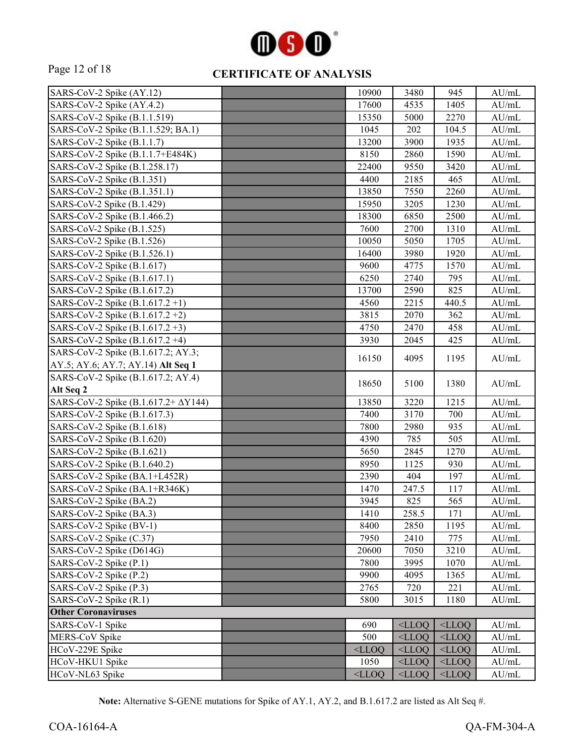

# Page 12 of 18 **CERTIFICATE OF ANALYSIS**

| SARS-CoV-2 Spike (AY.12)            | 10900    | 3480     | 945      | AU/mL |
|-------------------------------------|----------|----------|----------|-------|
| SARS-CoV-2 Spike (AY.4.2)           | 17600    | 4535     | 1405     | AU/mL |
| SARS-CoV-2 Spike (B.1.1.519)        | 15350    | 5000     | 2270     | AU/mL |
| SARS-CoV-2 Spike (B.1.1.529; BA.1)  | 1045     | 202      | 104.5    | AU/mL |
| SARS-CoV-2 Spike (B.1.1.7)          | 13200    | 3900     | 1935     | AU/mL |
| SARS-CoV-2 Spike (B.1.1.7+E484K)    | 8150     | 2860     | 1590     | AU/mL |
| SARS-CoV-2 Spike (B.1.258.17)       | 22400    | 9550     | 3420     | AU/mL |
| SARS-CoV-2 Spike (B.1.351)          | 4400     | 2185     | 465      | AU/mL |
| SARS-CoV-2 Spike (B.1.351.1)        | 13850    | 7550     | 2260     | AU/mL |
| SARS-CoV-2 Spike (B.1.429)          | 15950    | 3205     | 1230     | AU/mL |
| SARS-CoV-2 Spike (B.1.466.2)        | 18300    | 6850     | 2500     | AU/mL |
| SARS-CoV-2 Spike (B.1.525)          | 7600     | 2700     | 1310     | AU/mL |
| SARS-CoV-2 Spike (B.1.526)          | 10050    | 5050     | 1705     | AU/mL |
| SARS-CoV-2 Spike (B.1.526.1)        | 16400    | 3980     | 1920     | AU/mL |
| SARS-CoV-2 Spike (B.1.617)          | 9600     | 4775     | 1570     | AU/mL |
| SARS-CoV-2 Spike (B.1.617.1)        | 6250     | 2740     | 795      | AU/mL |
| SARS-CoV-2 Spike (B.1.617.2)        | 13700    | 2590     | 825      | AU/mL |
| SARS-CoV-2 Spike (B.1.617.2+1)      | 4560     | 2215     | 440.5    | AU/mL |
| SARS-CoV-2 Spike (B.1.617.2+2)      | 3815     | 2070     | 362      | AU/mL |
| SARS-CoV-2 Spike (B.1.617.2+3)      | 4750     | 2470     | 458      | AU/mL |
| SARS-CoV-2 Spike (B.1.617.2+4)      | 3930     | 2045     | 425      | AU/mL |
| SARS-CoV-2 Spike (B.1.617.2; AY.3;  |          |          |          |       |
| AY.5; AY.6; AY.7; AY.14) Alt Seq 1  | 16150    | 4095     | 1195     | AU/mL |
| SARS-CoV-2 Spike (B.1.617.2; AY.4)  |          |          |          |       |
| Alt Seq 2                           | 18650    | 5100     | 1380     | AU/mL |
| SARS-CoV-2 Spike (Β.1.617.2+ ΔΥ144) | 13850    | 3220     | 1215     | AU/mL |
| SARS-CoV-2 Spike (B.1.617.3)        | 7400     | 3170     | 700      | AU/mL |
| SARS-CoV-2 Spike (B.1.618)          | 7800     | 2980     | 935      | AU/mL |
| SARS-CoV-2 Spike (B.1.620)          | 4390     | 785      | 505      | AU/mL |
| SARS-CoV-2 Spike (B.1.621)          | 5650     | 2845     | 1270     | AU/mL |
| SARS-CoV-2 Spike (B.1.640.2)        | 8950     | 1125     | 930      | AU/mL |
| SARS-CoV-2 Spike (BA.1+L452R)       | 2390     | 404      | 197      | AU/mL |
| SARS-CoV-2 Spike (BA.1+R346K)       | 1470     | 247.5    | 117      | AU/mL |
| SARS-CoV-2 Spike (BA.2)             | 3945     | 825      | 565      | AU/mL |
| SARS-CoV-2 Spike (BA.3)             | 1410     | 258.5    | 171      | AU/mL |
| SARS-CoV-2 Spike (BV-1)             | 8400     | 2850     | 1195     | AU/mL |
| SARS-CoV-2 Spike (C.37)             | 7950     | 2410     | 775      | AU/mL |
| SARS-CoV-2 Spike (D614G)            | 20600    | 7050     | 3210     | AU/mL |
| SARS-CoV-2 Spike (P.1)              | 7800     | 3995     | 1070     | AU/mL |
| SARS-CoV-2 Spike (P.2)              | 9900     | 4095     | 1365     | AU/mL |
| SARS-CoV-2 Spike (P.3)              | 2765     | 720      | 221      | AU/mL |
| SARS-CoV-2 Spike (R.1)              | 5800     | 3015     | 1180     | AU/mL |
| <b>Other Coronaviruses</b>          |          |          |          |       |
| SARS-CoV-1 Spike                    | 690      | $<$ LLOQ | $<$ LLOQ | AU/mL |
| MERS-CoV Spike                      | 500      | $<$ LLOQ | $<$ LLOQ | AU/mL |
| HCoV-229E Spike                     | $<$ LLOQ | $<$ LLOQ | $<$ LLOQ | AU/mL |
| HCoV-HKU1 Spike                     | 1050     | $<$ LLOQ | $<$ LLOQ | AU/mL |
| HCoV-NL63 Spike                     | $<$ LLOQ | $<$ LLOQ | $<$ LLOQ | AU/mL |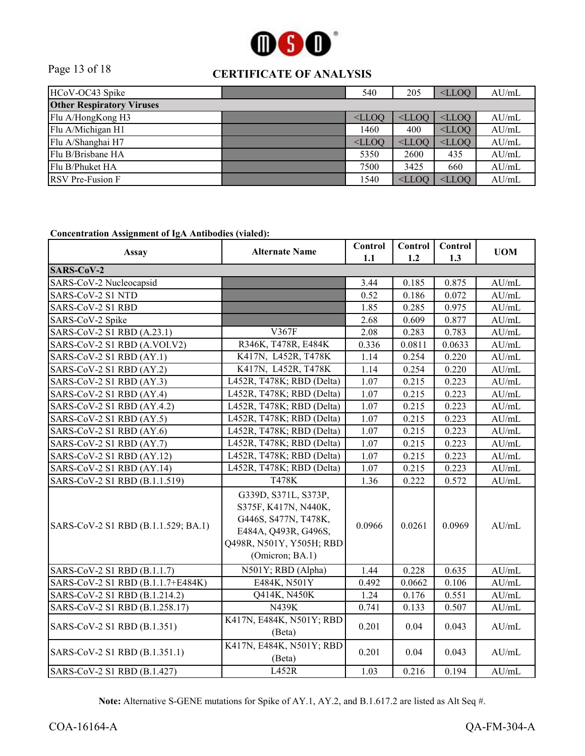

## Page 13 of 18 **CERTIFICATE OF ANALYSIS**

| HCoV-OC43 Spike                  |  | 540      | 205      | $<$ LLOO | AU/mL |  |
|----------------------------------|--|----------|----------|----------|-------|--|
| <b>Other Respiratory Viruses</b> |  |          |          |          |       |  |
| Flu A/HongKong H3                |  | $<$ LLOO | $<$ LLOO | $<$ LLOO | AU/mL |  |
| Flu A/Michigan H1                |  | 1460     | 400      | $<$ LLOO | AU/mL |  |
| Flu A/Shanghai H7                |  | $<$ LLOQ | $<$ LLOO | $<$ LLOO | AU/mL |  |
| Flu B/Brisbane HA                |  | 5350     | 2600     | 435      | AU/mL |  |
| Flu B/Phuket HA                  |  | 7500     | 3425     | 660      | AU/mL |  |
| <b>RSV</b> Pre-Fusion F          |  | 1540     | $<$ LLOO | $<$ LLOO | AU/mL |  |

#### **Concentration Assignment of IgA Antibodies (vialed):**

| <b>Assay</b>                        | <b>Alternate Name</b>                                                                                                                       | Control<br>1.1 | Control<br>1.2 | Control<br>1.3 | <b>UOM</b>       |
|-------------------------------------|---------------------------------------------------------------------------------------------------------------------------------------------|----------------|----------------|----------------|------------------|
| SARS-CoV-2                          |                                                                                                                                             |                |                |                |                  |
| SARS-CoV-2 Nucleocapsid             |                                                                                                                                             | 3.44           | 0.185          | 0.875          | AU/mL            |
| SARS-CoV-2 S1 NTD                   |                                                                                                                                             | 0.52           | 0.186          | 0.072          | AU/mL            |
| SARS-CoV-2 S1 RBD                   |                                                                                                                                             | 1.85           | 0.285          | 0.975          | AU/mL            |
| SARS-CoV-2 Spike                    |                                                                                                                                             | 2.68           | 0.609          | 0.877          | AU/mL            |
| SARS-CoV-2 S1 RBD (A.23.1)          | V367F                                                                                                                                       | 2.08           | 0.283          | 0.783          | AU/mL            |
| SARS-CoV-2 S1 RBD (A.VOI.V2)        | R346K, T478R, E484K                                                                                                                         | 0.336          | 0.0811         | 0.0633         | AU/mL            |
| SARS-CoV-2 S1 RBD (AY.1)            | K417N, L452R, T478K                                                                                                                         | 1.14           | 0.254          | 0.220          | AU/mL            |
| SARS-CoV-2 S1 RBD (AY.2)            | K417N, L452R, T478K                                                                                                                         | 1.14           | 0.254          | 0.220          | AU/mL            |
| SARS-CoV-2 S1 RBD (AY.3)            | L452R, T478K; RBD (Delta)                                                                                                                   | 1.07           | 0.215          | 0.223          | AU/mL            |
| SARS-CoV-2 S1 RBD (AY.4)            | L452R, T478K; RBD (Delta)                                                                                                                   | 1.07           | 0.215          | 0.223          | AU/mL            |
| SARS-CoV-2 S1 RBD (AY.4.2)          | L452R, T478K; RBD (Delta)                                                                                                                   | 1.07           | 0.215          | 0.223          | AU/mL            |
| SARS-CoV-2 S1 RBD (AY.5)            | L452R, T478K; RBD (Delta)                                                                                                                   | 1.07           | 0.215          | 0.223          | AU/mL            |
| SARS-CoV-2 S1 RBD (AY.6)            | L452R, T478K; RBD (Delta)                                                                                                                   | 1.07           | 0.215          | 0.223          | AU/mL            |
| SARS-CoV-2 S1 RBD (AY.7)            | L452R, T478K; RBD (Delta)                                                                                                                   | 1.07           | 0.215          | 0.223          | AU/mL            |
| SARS-CoV-2 S1 RBD (AY.12)           | L452R, T478K; RBD (Delta)                                                                                                                   | 1.07           | 0.215          | 0.223          | $\mathrm{AU/mL}$ |
| SARS-CoV-2 S1 RBD (AY.14)           | L452R, T478K; RBD (Delta)                                                                                                                   | 1.07           | 0.215          | 0.223          | AU/mL            |
| SARS-CoV-2 S1 RBD (B.1.1.519)       | <b>T478K</b>                                                                                                                                | 1.36           | 0.222          | 0.572          | AU/mL            |
| SARS-CoV-2 S1 RBD (B.1.1.529; BA.1) | G339D, S371L, S373P,<br>S375F, K417N, N440K,<br>G446S, S477N, T478K,<br>E484A, Q493R, G496S,<br>Q498R, N501Y, Y505H; RBD<br>(Omicron; BA.1) | 0.0966         | 0.0261         | 0.0969         | AU/mL            |
| SARS-CoV-2 S1 RBD (B.1.1.7)         | N501Y; RBD (Alpha)                                                                                                                          | 1.44           | 0.228          | 0.635          | AU/mL            |
| SARS-CoV-2 S1 RBD (B.1.1.7+E484K)   | E484K, N501Y                                                                                                                                | 0.492          | 0.0662         | 0.106          | AU/mL            |
| SARS-CoV-2 S1 RBD (B.1.214.2)       | Q414K, N450K                                                                                                                                | 1.24           | 0.176          | 0.551          | AU/mL            |
| SARS-CoV-2 S1 RBD (B.1.258.17)      | N439K                                                                                                                                       | 0.741          | 0.133          | 0.507          | AU/mL            |
| SARS-CoV-2 S1 RBD (B.1.351)         | K417N, E484K, N501Y; RBD<br>(Beta)                                                                                                          | 0.201          | 0.04           | 0.043          | AU/mL            |
| SARS-CoV-2 S1 RBD (B.1.351.1)       | K417N, E484K, N501Y; RBD<br>(Beta)                                                                                                          | 0.201          | 0.04           | 0.043          | AU/mL            |
| SARS-CoV-2 S1 RBD (B.1.427)         | L452R                                                                                                                                       | 1.03           | 0.216          | 0.194          | AU/mL            |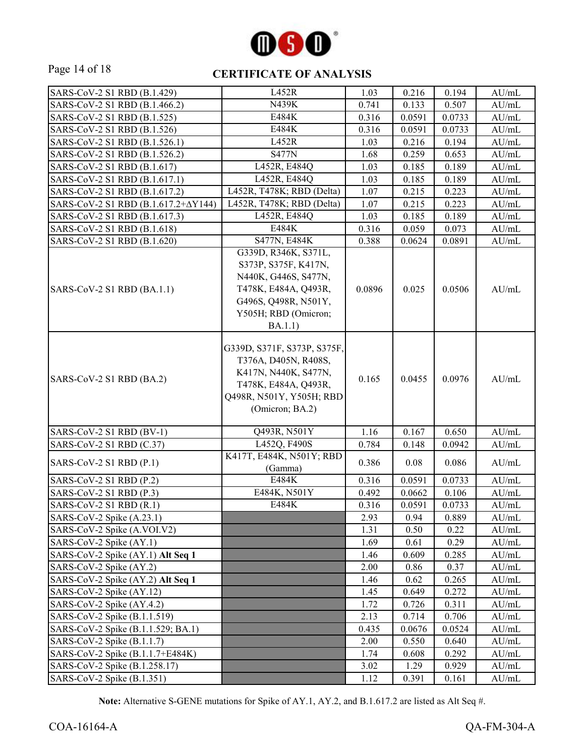

## Page 14 of 18 **CERTIFICATE OF ANALYSIS**

| SARS-CoV-2 S1 RBD (B.1.429)         | L452R                                                                                                                                                   | 1.03   | 0.216  | 0.194  | AU/mL            |
|-------------------------------------|---------------------------------------------------------------------------------------------------------------------------------------------------------|--------|--------|--------|------------------|
| SARS-CoV-2 S1 RBD (B.1.466.2)       | N439K                                                                                                                                                   | 0.741  | 0.133  | 0.507  | AU/mL            |
| SARS-CoV-2 S1 RBD (B.1.525)         | E484K                                                                                                                                                   | 0.316  | 0.0591 | 0.0733 | AU/mL            |
| SARS-CoV-2 S1 RBD (B.1.526)         | E484K                                                                                                                                                   | 0.316  | 0.0591 | 0.0733 | AU/mL            |
| SARS-CoV-2 S1 RBD (B.1.526.1)       | L452R                                                                                                                                                   | 1.03   | 0.216  | 0.194  | AU/mL            |
| SARS-CoV-2 S1 RBD (B.1.526.2)       | <b>S477N</b>                                                                                                                                            | 1.68   | 0.259  | 0.653  | AU/mL            |
| SARS-CoV-2 S1 RBD (B.1.617)         | L452R, E484Q                                                                                                                                            | 1.03   | 0.185  | 0.189  | AU/mL            |
| SARS-CoV-2 S1 RBD (B.1.617.1)       | L452R, E484Q                                                                                                                                            | 1.03   | 0.185  | 0.189  | AU/mL            |
| SARS-CoV-2 S1 RBD (B.1.617.2)       | L452R, T478K; RBD (Delta)                                                                                                                               | 1.07   | 0.215  | 0.223  | AU/mL            |
| SARS-CoV-2 S1 RBD (Β.1.617.2+ΔY144) | L452R, T478K; RBD (Delta)                                                                                                                               | 1.07   | 0.215  | 0.223  | AU/mL            |
| SARS-CoV-2 S1 RBD (B.1.617.3)       | L452R, E484Q                                                                                                                                            | 1.03   | 0.185  | 0.189  | AU/mL            |
| SARS-CoV-2 S1 RBD (B.1.618)         | E484K                                                                                                                                                   | 0.316  | 0.059  | 0.073  | AU/mL            |
| SARS-CoV-2 S1 RBD (B.1.620)         | S477N, E484K                                                                                                                                            | 0.388  | 0.0624 | 0.0891 | AU/mL            |
| SARS-CoV-2 S1 RBD (BA.1.1)          | G339D, R346K, S371L,<br>S373P, S375F, K417N,<br>N440K, G446S, S477N,<br>T478K, E484A, Q493R,<br>G496S, Q498R, N501Y,<br>Y505H; RBD (Omicron;<br>BA.1.1) | 0.0896 | 0.025  | 0.0506 | AU/mL            |
| SARS-CoV-2 S1 RBD (BA.2)            | G339D, S371F, S373P, S375F,<br>T376A, D405N, R408S,<br>K417N, N440K, S477N,<br>T478K, E484A, Q493R,<br>Q498R, N501Y, Y505H; RBD<br>(Omicron; BA.2)      | 0.165  | 0.0455 | 0.0976 | AU/mL            |
| SARS-CoV-2 S1 RBD (BV-1)            | Q493R, N501Y                                                                                                                                            | 1.16   | 0.167  | 0.650  | AU/mL            |
| SARS-CoV-2 S1 RBD (C.37)            | L452Q, F490S                                                                                                                                            | 0.784  | 0.148  | 0.0942 | AU/mL            |
| SARS-CoV-2 S1 RBD (P.1)             | K417T, E484K, N501Y; RBD<br>(Gamma)                                                                                                                     | 0.386  | 0.08   | 0.086  | AU/mL            |
| SARS-CoV-2 S1 RBD (P.2)             | <b>E484K</b>                                                                                                                                            | 0.316  | 0.0591 | 0.0733 | AU/mL            |
| SARS-CoV-2 S1 RBD (P.3)             | E484K, N501Y                                                                                                                                            | 0.492  | 0.0662 | 0.106  | AU/mL            |
| SARS-CoV-2 S1 RBD $(R.1)$           | E484K                                                                                                                                                   | 0.316  | 0.0591 | 0.0733 | AU/mL            |
| SARS-CoV-2 Spike (A.23.1)           |                                                                                                                                                         | 2.93   | 0.94   | 0.889  | $\mathrm{AU/mL}$ |
| SARS-CoV-2 Spike (A.VOI.V2)         |                                                                                                                                                         | 1.31   | 0.50   | 0.22   | AU/mL            |
| SARS-CoV-2 Spike (AY.1)             |                                                                                                                                                         | 1.69   | 0.61   | 0.29   | AU/mL            |
| SARS-CoV-2 Spike (AY.1) Alt Seq 1   |                                                                                                                                                         | 1.46   | 0.609  | 0.285  | $\mathrm{AU/mL}$ |
| SARS-CoV-2 Spike (AY.2)             |                                                                                                                                                         | 2.00   | 0.86   | 0.37   | AU/mL            |
| SARS-CoV-2 Spike (AY.2) Alt Seq 1   |                                                                                                                                                         | 1.46   | 0.62   | 0.265  | AU/mL            |
| SARS-CoV-2 Spike (AY.12)            |                                                                                                                                                         | 1.45   | 0.649  | 0.272  | AU/mL            |
| SARS-CoV-2 Spike (AY.4.2)           |                                                                                                                                                         | 1.72   | 0.726  | 0.311  | AU/mL            |
| SARS-CoV-2 Spike (B.1.1.519)        |                                                                                                                                                         | 2.13   | 0.714  | 0.706  | AU/mL            |
| SARS-CoV-2 Spike (B.1.1.529; BA.1)  |                                                                                                                                                         | 0.435  | 0.0676 | 0.0524 | AU/mL            |
| SARS-CoV-2 Spike (B.1.1.7)          |                                                                                                                                                         | 2.00   | 0.550  | 0.640  | AU/mL            |
| SARS-CoV-2 Spike (B.1.1.7+E484K)    |                                                                                                                                                         | 1.74   | 0.608  | 0.292  | AU/mL            |
| SARS-CoV-2 Spike (B.1.258.17)       |                                                                                                                                                         | 3.02   | 1.29   | 0.929  | AU/mL            |
| SARS-CoV-2 Spike (B.1.351)          |                                                                                                                                                         | 1.12   | 0.391  | 0.161  | AU/mL            |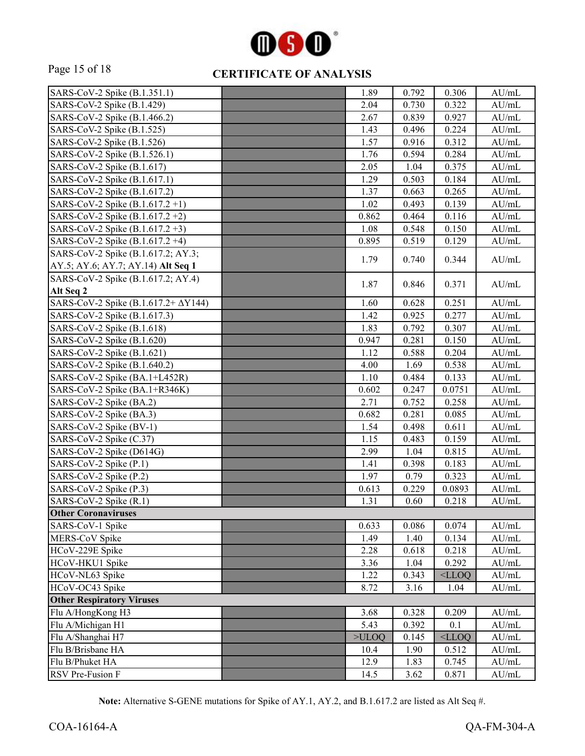

# Page 15 of 18 **CERTIFICATE OF ANALYSIS**

| SARS-CoV-2 Spike (B.1.351.1)                | 1.89  | 0.792 | 0.306    | AU/mL            |
|---------------------------------------------|-------|-------|----------|------------------|
| SARS-CoV-2 Spike (B.1.429)                  | 2.04  | 0.730 | 0.322    | AU/mL            |
| SARS-CoV-2 Spike (B.1.466.2)                | 2.67  | 0.839 | 0.927    | AU/mL            |
| SARS-CoV-2 Spike (B.1.525)                  | 1.43  | 0.496 | 0.224    | AU/mL            |
| SARS-CoV-2 Spike (B.1.526)                  | 1.57  | 0.916 | 0.312    | $\mathrm{AU/mL}$ |
| SARS-CoV-2 Spike (B.1.526.1)                | 1.76  | 0.594 | 0.284    | AU/mL            |
| SARS-CoV-2 Spike (B.1.617)                  | 2.05  | 1.04  | 0.375    | AU/mL            |
| SARS-CoV-2 Spike (B.1.617.1)                | 1.29  | 0.503 | 0.184    | AU/mL            |
| SARS-CoV-2 Spike (B.1.617.2)                | 1.37  | 0.663 | 0.265    | $\mathrm{AU/mL}$ |
| SARS-CoV-2 Spike (B.1.617.2+1)              | 1.02  | 0.493 | 0.139    | $\mathrm{AU/mL}$ |
| SARS-CoV-2 Spike $(B.1.617.2 + 2)$          | 0.862 | 0.464 | 0.116    | $\mathrm{AU/mL}$ |
| SARS-CoV-2 Spike (B.1.617.2+3)              | 1.08  | 0.548 | 0.150    | $\mathrm{AU/mL}$ |
| SARS-CoV-2 Spike (B.1.617.2+4)              | 0.895 | 0.519 | 0.129    | $\mathrm{AU/mL}$ |
| SARS-CoV-2 Spike (B.1.617.2; AY.3;          | 1.79  | 0.740 | 0.344    | AU/mL            |
| AY.5; AY.6; AY.7; AY.14) Alt Seq 1          |       |       |          |                  |
| SARS-CoV-2 Spike (B.1.617.2; AY.4)          | 1.87  | 0.846 | 0.371    | $\mathrm{AU/mL}$ |
| Alt Seq 2                                   |       |       |          |                  |
| SARS-CoV-2 Spike (B.1.617.2+ $\Delta$ Y144) | 1.60  | 0.628 | 0.251    | AU/mL            |
| SARS-CoV-2 Spike (B.1.617.3)                | 1.42  | 0.925 | 0.277    | AU/mL            |
| SARS-CoV-2 Spike (B.1.618)                  | 1.83  | 0.792 | 0.307    | AU/mL            |
| SARS-CoV-2 Spike (B.1.620)                  | 0.947 | 0.281 | 0.150    | AU/mL            |
| SARS-CoV-2 Spike (B.1.621)                  | 1.12  | 0.588 | 0.204    | $\mathrm{AU/mL}$ |
| SARS-CoV-2 Spike (B.1.640.2)                | 4.00  | 1.69  | 0.538    | AU/mL            |
| SARS-CoV-2 Spike (BA.1+L452R)               | 1.10  | 0.484 | 0.133    | $\mathrm{AU/mL}$ |
| SARS-CoV-2 Spike (BA.1+R346K)               | 0.602 | 0.247 | 0.0751   | $\mathrm{AU/mL}$ |
| SARS-CoV-2 Spike (BA.2)                     | 2.71  | 0.752 | 0.258    | AU/mL            |
| SARS-CoV-2 Spike (BA.3)                     | 0.682 | 0.281 | 0.085    | AU/mL            |
| SARS-CoV-2 Spike (BV-1)                     | 1.54  | 0.498 | 0.611    | $\mathrm{AU/mL}$ |
| SARS-CoV-2 Spike (C.37)                     | 1.15  | 0.483 | 0.159    | $\mathrm{AU/mL}$ |
| SARS-CoV-2 Spike (D614G)                    | 2.99  | 1.04  | 0.815    | $\mathrm{AU/mL}$ |
| SARS-CoV-2 Spike (P.1)                      | 1.41  | 0.398 | 0.183    | AU/mL            |
| SARS-CoV-2 Spike (P.2)                      | 1.97  | 0.79  | 0.323    | AU/mL            |
| SARS-CoV-2 Spike (P.3)                      | 0.613 | 0.229 | 0.0893   | AU/mL            |
| SARS-CoV-2 Spike (R.1)                      | 1.31  | 0.60  | 0.218    | AU/mL            |
| <b>Other Coronaviruses</b>                  |       |       |          |                  |
| SARS-CoV-1 Spike                            | 0.633 | 0.086 | 0.074    | AU/mL            |
| MERS-CoV Spike                              | 1.49  | 1.40  | 0.134    | AU/mL            |
| HCoV-229E Spike                             | 2.28  | 0.618 | 0.218    | AU/mL            |
| HCoV-HKU1 Spike                             | 3.36  | 1.04  | 0.292    | AU/mL            |
| HCoV-NL63 Spike                             | 1.22  | 0.343 | $<$ LLOQ | AU/mL            |
| HCoV-OC43 Spike                             | 8.72  | 3.16  | 1.04     | $\mathrm{AU/mL}$ |
| <b>Other Respiratory Viruses</b>            |       |       |          |                  |
| Flu A/HongKong H3                           | 3.68  | 0.328 | 0.209    | $\mathrm{AU/mL}$ |
| Flu A/Michigan H1                           | 5.43  | 0.392 | 0.1      | AU/mL            |
| Flu A/Shanghai H7                           | >ULOQ | 0.145 | $<$ LLOQ | AU/mL            |
| Flu B/Brisbane HA                           | 10.4  | 1.90  | 0.512    | AU/mL            |
| Flu B/Phuket HA                             | 12.9  | 1.83  | 0.745    | $\mathrm{AU/mL}$ |
| RSV Pre-Fusion F                            | 14.5  | 3.62  | 0.871    | $\mathrm{AU/mL}$ |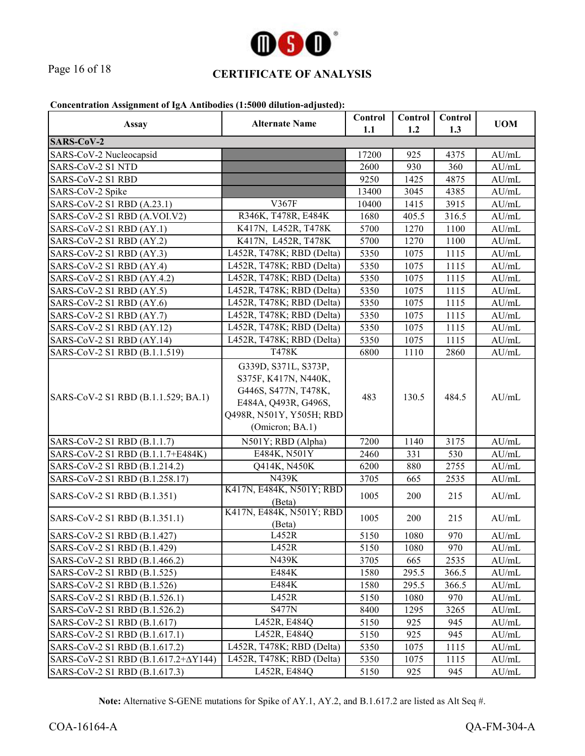

# Page 16 of 18 **CERTIFICATE OF ANALYSIS**

#### **Concentration Assignment of IgA Antibodies (1:5000 dilution-adjusted):**

| <b>Assay</b>                        | <b>Alternate Name</b>                                                                                                                       | Control<br>1.1 | Control<br>1.2 | Control<br>1.3 | <b>UOM</b> |
|-------------------------------------|---------------------------------------------------------------------------------------------------------------------------------------------|----------------|----------------|----------------|------------|
| <b>SARS-CoV-2</b>                   |                                                                                                                                             |                |                |                |            |
| SARS-CoV-2 Nucleocapsid             |                                                                                                                                             | 17200          | 925            | 4375           | AU/mL      |
| SARS-CoV-2 S1 NTD                   |                                                                                                                                             | 2600           | 930            | 360            | AU/mL      |
| SARS-CoV-2 S1 RBD                   |                                                                                                                                             | 9250           | 1425           | 4875           | AU/mL      |
| SARS-CoV-2 Spike                    |                                                                                                                                             | 13400          | 3045           | 4385           | AU/mL      |
| SARS-CoV-2 S1 RBD (A.23.1)          | V367F                                                                                                                                       | 10400          | 1415           | 3915           | AU/mL      |
| SARS-CoV-2 S1 RBD (A.VOI.V2)        | R346K, T478R, E484K                                                                                                                         | 1680           | 405.5          | 316.5          | AU/mL      |
| SARS-CoV-2 S1 RBD (AY.1)            | K417N, L452R, T478K                                                                                                                         | 5700           | 1270           | 1100           | AU/mL      |
| SARS-CoV-2 S1 RBD (AY.2)            | K417N, L452R, T478K                                                                                                                         | 5700           | 1270           | 1100           | AU/mL      |
| SARS-CoV-2 S1 RBD (AY.3)            | L452R, T478K; RBD (Delta)                                                                                                                   | 5350           | 1075           | 1115           | AU/mL      |
| SARS-CoV-2 S1 RBD (AY.4)            | L452R, T478K; RBD (Delta)                                                                                                                   | 5350           | 1075           | 1115           | AU/mL      |
| SARS-CoV-2 S1 RBD (AY.4.2)          | L452R, T478K; RBD (Delta)                                                                                                                   | 5350           | 1075           | 1115           | AU/mL      |
| SARS-CoV-2 S1 RBD (AY.5)            | L452R, T478K; RBD (Delta)                                                                                                                   | 5350           | 1075           | 1115           | AU/mL      |
| SARS-CoV-2 S1 RBD (AY.6)            | L452R, T478K; RBD (Delta)                                                                                                                   | 5350           | 1075           | 1115           | AU/mL      |
| SARS-CoV-2 S1 RBD (AY.7)            | L452R, T478K; RBD (Delta)                                                                                                                   | 5350           | 1075           | 1115           | AU/mL      |
| SARS-CoV-2 S1 RBD (AY.12)           | L452R, T478K; RBD (Delta)                                                                                                                   | 5350           | 1075           | 1115           | AU/mL      |
| SARS-CoV-2 S1 RBD (AY.14)           | L452R, T478K; RBD (Delta)                                                                                                                   | 5350           | 1075           | 1115           | AU/mL      |
| SARS-CoV-2 S1 RBD (B.1.1.519)       | T478K                                                                                                                                       | 6800           | 1110           | 2860           | AU/mL      |
| SARS-CoV-2 S1 RBD (B.1.1.529; BA.1) | G339D, S371L, S373P,<br>S375F, K417N, N440K,<br>G446S, S477N, T478K,<br>E484A, Q493R, G496S,<br>Q498R, N501Y, Y505H; RBD<br>(Omicron; BA.1) | 483            | 130.5          | 484.5          | AU/mL      |
| SARS-CoV-2 S1 RBD (B.1.1.7)         | N501Y; RBD (Alpha)                                                                                                                          | 7200           | 1140           | 3175           | AU/mL      |
| SARS-CoV-2 S1 RBD (B.1.1.7+E484K)   | E484K, N501Y                                                                                                                                | 2460           | 331            | 530            | AU/mL      |
| SARS-CoV-2 S1 RBD (B.1.214.2)       | Q414K, N450K                                                                                                                                | 6200           | 880            | 2755           | AU/mL      |
| SARS-CoV-2 S1 RBD (B.1.258.17)      | N439K                                                                                                                                       | 3705           | 665            | 2535           | AU/mL      |
| SARS-CoV-2 S1 RBD (B.1.351)         | K417N, E484K, N501Y; RBD<br>(Beta)                                                                                                          | 1005           | 200            | 215            | AU/mL      |
| SARS-CoV-2 S1 RBD (B.1.351.1)       | K417N, E484K, N501Y; RBD<br>(Beta)                                                                                                          | 1005           | 200            | 215            | AU/mL      |
| SARS-CoV-2 S1 RBD (B.1.427)         | L452R                                                                                                                                       | 5150           | 1080           | 970            | AU/mL      |
| SARS-CoV-2 S1 RBD (B.1.429)         | L452R                                                                                                                                       | 5150           | 1080           | 970            | AU/mL      |
| SARS-CoV-2 S1 RBD (B.1.466.2)       | N439K                                                                                                                                       | 3705           | 665            | 2535           | AU/mL      |
| SARS-CoV-2 S1 RBD (B.1.525)         | E484K                                                                                                                                       | 1580           | 295.5          | 366.5          | AU/mL      |
| SARS-CoV-2 S1 RBD (B.1.526)         | E484K                                                                                                                                       | 1580           | 295.5          | 366.5          | AU/mL      |
| SARS-CoV-2 S1 RBD (B.1.526.1)       | L452R                                                                                                                                       | 5150           | 1080           | 970            | AU/mL      |
| SARS-CoV-2 S1 RBD (B.1.526.2)       | <b>S477N</b>                                                                                                                                | 8400           | 1295           | 3265           | AU/mL      |
| SARS-CoV-2 S1 RBD (B.1.617)         | L452R, E484Q                                                                                                                                | 5150           | 925            | 945            | AU/mL      |
| SARS-CoV-2 S1 RBD (B.1.617.1)       | L452R, E484Q                                                                                                                                | 5150           | 925            | 945            | AU/mL      |
| SARS-CoV-2 S1 RBD (B.1.617.2)       | L452R, T478K; RBD (Delta)                                                                                                                   | 5350           | 1075           | 1115           | AU/mL      |
| SARS-CoV-2 S1 RBD (Β.1.617.2+ΔY144) | L452R, T478K; RBD (Delta)                                                                                                                   | 5350           | 1075           | 1115           | AU/mL      |
| SARS-CoV-2 S1 RBD (B.1.617.3)       | L452R, E484Q                                                                                                                                | 5150           | 925            | 945            | AU/mL      |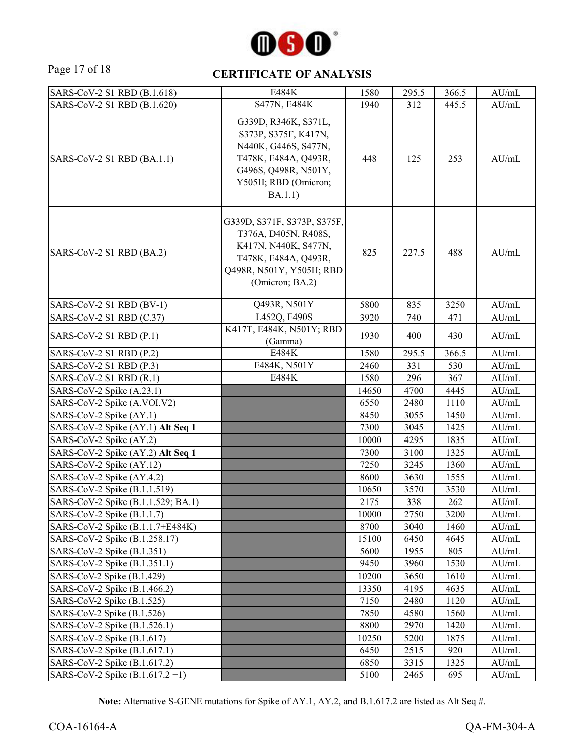

#### Page 17 of 18 **CERTIFICATE OF ANALYSIS**

| SARS-CoV-2 S1 RBD (B.1.618)        | E484K                                                                                                                                                   | 1580  | 295.5 | 366.5 | AU/mL |
|------------------------------------|---------------------------------------------------------------------------------------------------------------------------------------------------------|-------|-------|-------|-------|
| SARS-CoV-2 S1 RBD (B.1.620)        | S477N, E484K                                                                                                                                            | 1940  | 312   | 445.5 | AU/mL |
| SARS-CoV-2 S1 RBD (BA.1.1)         | G339D, R346K, S371L,<br>S373P, S375F, K417N,<br>N440K, G446S, S477N,<br>T478K, E484A, Q493R,<br>G496S, Q498R, N501Y,<br>Y505H; RBD (Omicron;<br>BA.1.1) | 448   | 125   | 253   | AU/mL |
| SARS-CoV-2 S1 RBD (BA.2)           | G339D, S371F, S373P, S375F,<br>T376A, D405N, R408S,<br>K417N, N440K, S477N,<br>T478K, E484A, Q493R,<br>Q498R, N501Y, Y505H; RBD<br>(Omicron; BA.2)      | 825   | 227.5 | 488   | AU/mL |
| SARS-CoV-2 S1 RBD (BV-1)           | Q493R, N501Y                                                                                                                                            | 5800  | 835   | 3250  | AU/mL |
| SARS-CoV-2 S1 RBD (C.37)           | L452Q, F490S                                                                                                                                            | 3920  | 740   | 471   | AU/mL |
| SARS-CoV-2 S1 RBD (P.1)            | K417T, E484K, N501Y; RBD<br>(Gamma)                                                                                                                     | 1930  | 400   | 430   | AU/mL |
| SARS-CoV-2 S1 RBD (P.2)            | E484K                                                                                                                                                   | 1580  | 295.5 | 366.5 | AU/mL |
| SARS-CoV-2 S1 RBD (P.3)            | E484K, N501Y                                                                                                                                            | 2460  | 331   | 530   | AU/mL |
| SARS-CoV-2 S1 RBD (R.1)            | E484K                                                                                                                                                   | 1580  | 296   | 367   | AU/mL |
| SARS-CoV-2 Spike (A.23.1)          |                                                                                                                                                         | 14650 | 4700  | 4445  | AU/mL |
| SARS-CoV-2 Spike (A.VOI.V2)        |                                                                                                                                                         | 6550  | 2480  | 1110  | AU/mL |
| SARS-CoV-2 Spike (AY.1)            |                                                                                                                                                         | 8450  | 3055  | 1450  | AU/mL |
| SARS-CoV-2 Spike (AY.1) Alt Seq 1  |                                                                                                                                                         | 7300  | 3045  | 1425  | AU/mL |
| SARS-CoV-2 Spike (AY.2)            |                                                                                                                                                         | 10000 | 4295  | 1835  | AU/mL |
| SARS-CoV-2 Spike (AY.2) Alt Seq 1  |                                                                                                                                                         | 7300  | 3100  | 1325  | AU/mL |
| SARS-CoV-2 Spike (AY.12)           |                                                                                                                                                         | 7250  | 3245  | 1360  | AU/mL |
| SARS-CoV-2 Spike (AY.4.2)          |                                                                                                                                                         | 8600  | 3630  | 1555  | AU/mL |
| SARS-CoV-2 Spike (B.1.1.519)       |                                                                                                                                                         | 10650 | 3570  | 3530  | AU/mL |
| SARS-CoV-2 Spike (B.1.1.529; BA.1) |                                                                                                                                                         | 2175  | 338   | 262   | AU/mL |
| SARS-CoV-2 Spike (B.1.1.7)         |                                                                                                                                                         | 10000 | 2750  | 3200  | AU/mL |
| SARS-CoV-2 Spike (B.1.1.7+E484K)   |                                                                                                                                                         | 8700  | 3040  | 1460  | AU/mL |
| SARS-CoV-2 Spike (B.1.258.17)      |                                                                                                                                                         | 15100 | 6450  | 4645  | AU/mL |
| SARS-CoV-2 Spike (B.1.351)         |                                                                                                                                                         | 5600  | 1955  | 805   | AU/mL |
| SARS-CoV-2 Spike (B.1.351.1)       |                                                                                                                                                         | 9450  | 3960  | 1530  | AU/mL |
| SARS-CoV-2 Spike (B.1.429)         |                                                                                                                                                         | 10200 | 3650  | 1610  | AU/mL |
| SARS-CoV-2 Spike (B.1.466.2)       |                                                                                                                                                         | 13350 | 4195  | 4635  | AU/mL |
| SARS-CoV-2 Spike (B.1.525)         |                                                                                                                                                         | 7150  | 2480  | 1120  | AU/mL |
| SARS-CoV-2 Spike (B.1.526)         |                                                                                                                                                         | 7850  | 4580  | 1560  | AU/mL |
| SARS-CoV-2 Spike (B.1.526.1)       |                                                                                                                                                         | 8800  | 2970  | 1420  | AU/mL |
| SARS-CoV-2 Spike (B.1.617)         |                                                                                                                                                         | 10250 | 5200  | 1875  | AU/mL |
| SARS-CoV-2 Spike (B.1.617.1)       |                                                                                                                                                         | 6450  | 2515  | 920   | AU/mL |
| SARS-CoV-2 Spike (B.1.617.2)       |                                                                                                                                                         | 6850  | 3315  | 1325  | AU/mL |
| SARS-CoV-2 Spike $(B.1.617.2 +1)$  |                                                                                                                                                         | 5100  | 2465  | 695   | AU/mL |